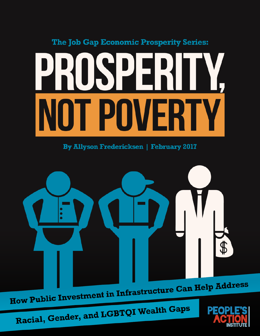## The Job Gap Economic Prosperity Series: PRUSPERI IIY **I POWERTY**

**By Allyson Fredericksen | February 2017** 



Racial, Gender, and LGBTQI Wealth Gaps

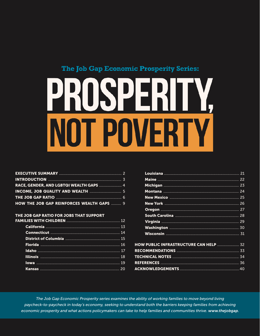#### The Job Gap Economic Prosperity Series:



| HOW THE JOB GAP REINFORCES WEALTH GAPS  9 |  |
|-------------------------------------------|--|

#### THE JOB GAP RATIO FOR JOBS THAT SUPPORT

F/

| <b>HOW PUBLIC INFRASTRUCTURE CAN HELP  32</b> |  |
|-----------------------------------------------|--|
|                                               |  |
|                                               |  |
|                                               |  |

The Job Gap Economic Prosperity series examines the ability of working families to move beyond living paycheck-to-paycheck in today's economy, seeking to understand both the barriers keeping families from achieving economic prosperity and what actions policymakers can take to help families and communities thrive. www.thejobgap.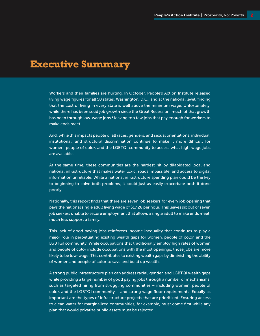## **Executive Summary**

Workers and their families are hurting. In October, People's Action Institute released living wage figures for all 50 states, Washington, D.C., and at the national level, finding that the cost of living in every state is well above the minimum wage. Unfortunately, while there has been solid job growth since the Great Recession, much of that growth has been through low-wage jobs, $^1$  leaving too few jobs that pay enough for workers to make ends meet.

And, while this impacts people of all races, genders, and sexual orientations, individual, institutional, and structural discrimination continue to make it more difficult for women, people of color, and the LGBTQI community to access what high-wage jobs are available.

At the same time, these communities are the hardest hit by dilapidated local and national infrastructure that makes water toxic, roads impassible, and access to digital information unreliable. While a national infrastructure spending plan could be the key to beginning to solve both problems, it could just as easily exacerbate both if done poorly.

Nationally, this report finds that there are seven job seekers for every job opening that pays the national single adult living wage of \$17.28 per hour. This leaves six out of seven job seekers unable to secure employment that allows a single adult to make ends meet, much less support a family.

This lack of good paying jobs reinforces income inequality that continues to play a major role in perpetuating existing wealth gaps for women, people of color, and the LGBTQI community. While occupations that traditionally employ high rates of women and people of color include occupations with the most openings, those jobs are more likely to be low-wage. This contributes to existing wealth gaps by diminishing the ability of women and people of color to save and build up wealth.

A strong public infrastructure plan can address racial, gender, and LGBTQI wealth gaps while providing a large number of good paying jobs through a number of mechanisms, such as targeted hiring from struggling communities – including women, people of color, and the LGBTQI community – and strong wage floor requirements. Equally as important are the types of infrastructure projects that are prioritized. Ensuring access to clean water for marginalized communities, for example, must come first while any plan that would privatize public assets must be rejected.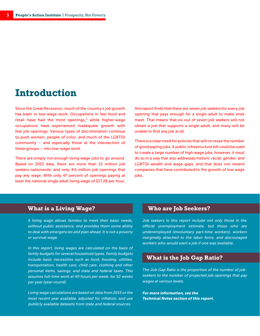## **Introduction**

Since the Great Recession, much of the country's job growth has been in low-wage work. Occupations in fast food and retail have had the most openings, $2$  while higher-wage occupations have experienced inadequate growth with few job openings. Various types of discrimination continue to push women, people of color, and much of the LGBTQI community – and especially those at the intersection of these groups – into low-wage work.

There are simply not enough living wage jobs to go around. Based on 2015 data, there are more than 15 million job seekers nationwide, and only 4.6 million job openings that pay any wage. With only 47 percent of openings paying at least the national single adult living wage of \$17.28 per hour, this report finds that there are seven job seekers for every job opening that pays enough for a single adult to make ends meet. That means that six out of seven job seekers will not obtain a job that supports a single adult, and many will be unable to find any job at all.

There is a clear need for policies that will increase the number of good paying jobs. A public infrastructure bill could be used to create a large number of high wage jobs; however, it must do so in a way that also addresses historic racial, gender, and LGBTQI wealth and wage gaps, and that does not reward companies that have contributed to the growth of low wage jobs.

#### **What is a Living Wage?**

A living wage allows families to meet their basic needs, without public assistance, and provides them some ability to deal with emergencies and plan ahead. It is not a poverty or survival wage.

In this report, living wages are calculated on the basis of family budgets for several household types. Family budgets include basic necessities such as food, housing, utilities, transportation, health care, child care, clothing and other personal items, savings, and state and federal taxes. This assumes full-time work at 40 hours per week, for 52 weeks per year (year-round).

Living wage calculations are based on data from 2015 or the most recent year available, adjusted for inflation, and use publicly available datasets from state and federal sources.

#### **Who are Job Seekers?**

Job seekers in this report include not only those in the official unemployment estimate, but those who are underemployed (involuntary part-time workers), workers marginally attached to the labor force, and discouraged workers who would want a job if one was available.

#### **What is the Job Gap Ratio?**

The Job Gap Ratio is the proportion of the number of jobseekers to the number of projected job openings that pay wages at various levels.

For more information, see the Technical Notes section of this report.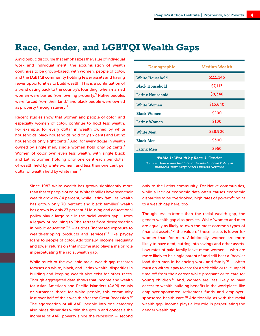## **Race, Gender, and LGBTQI Wealth Gaps**

Amid public discourse that emphasizes the value of individual work and individual merit, the accumulation of wealth continues to be group-based, with women, people of color, and the LGBTQI community holding fewer assets and having fewer opportunities to build wealth. This is a continuation of a trend dating back to the country's founding, when married women were barred from owning property,<sup>3</sup> Native peoples were forced from their land,<sup>4</sup> and black people were owned as property through slavery.<sup>5</sup>

Recent studies show that women and people of color, and especially women of color, continue to hold less wealth. For example, for every dollar in wealth owned by white households, black households hold only six cents and Latinx households only eight cents.<sup>6</sup> And, for every dollar in wealth owned by single men, single women hold only 32 cents.<sup>7</sup> Women of color own even less wealth, with single black and Latinx women holding only one cent each per dollar of wealth held by white women, and less than one cent per dollar of wealth held by white men.<sup>8</sup>

> Since 1983 white wealth has grown significantly more than that of people of color. White families have seen their wealth grow by 84 percent, while Latinx families' wealth has grown only 70 percent and black families' wealth has grown by only 27 percent.<sup>9</sup> Housing and educational policy play a large role in the racial wealth gap – from a legacy of redlining to "the retreat from desegregation in public education" $10 -$  as does "increased exposure to wealth-stripping products and services<sup>"11</sup> like payday loans to people of color. Additionally, income inequality and lower returns on that income also plays a major role in perpetuating the racial wealth gap.

> While much of the available racial wealth gap research focuses on white, black, and Latinx wealth, disparities in building and keeping wealth also exist for other races. Though aggregated data shows that income and wealth for Asian-American and Pacific Islanders (AAPI) equals or surpasses those for white people, this community lost over half of their wealth after the Great Recession.<sup>12</sup> The aggregation of all AAPI people into one category also hides disparities within the group and conceals the increase of AAPI poverty since the recession – second

| Demographic            | Median Wealth |
|------------------------|---------------|
| White Household        | \$111,146     |
| <b>Black Household</b> | \$7,113       |
| Latinx Household       | \$8,348       |
| <b>White Women</b>     | \$15,640      |
| <b>Black Women</b>     | \$200         |
| <b>Latinx Women</b>    | \$100         |
| <b>White Men</b>       | \$28,900      |
| <b>Black Men</b>       | \$300         |
| <b>Latinx Men</b>      | \$950         |
|                        |               |

**Table 1:** Wealth by Race & Gender Source: Demos and Institute for Assets & Social Policy at Brandeis University; Asset Funders Network

only to the Latinx community. For Native communities, while a lack of economic data often causes economic disparities to be overlooked, high rates of poverty<sup>13</sup> point to a wealth gap here, too.

Though less extreme than the racial wealth gap, the gender wealth gap also persists. While "women and men are equally as likely to own the most common types of financial assets,"<sup>14</sup> the value of those assets is lower for women than for men. Additionally, women are more likely to have debt, cutting into savings and other assets. Low rates of paid family leave mean women – who are more likely to be single parents<sup>15</sup> and still bear a "heavier load than men in balancing work and family $16 -$  often must go without pay to care for a sick child or take unpaid time off from their career while pregnant or to care for young children.<sup>17</sup> And, women are less likely to have access to wealth-building benefits in the workplace, like employer-sponsored retirement funds and employersponsored health care. $18$  Additionally, as with the racial wealth gap, income plays a key role in perpetuating the gender wealth gap.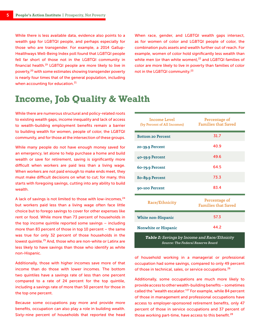While there is less available data, evidence also points to a wealth gap for LGBTQI people, and perhaps especially for those who are transgender. For example, a 2014 Gallup-Healthways Well-Being Index poll found that LGBTQI people fell far short of those not in the LGBTQI community in financial health.<sup>19</sup> LGBTQI people are more likely to live in poverty,<sup>20</sup> with some estimates showing transgender poverty is nearly four times that of the general population, including when accounting for education.<sup>21</sup>

When race, gender, and LGBTQI wealth gaps intersect, as for women of color and LGBTQI people of color, the combination puts assets and wealth further out of reach. For example, women of color hold significantly less wealth than white men (or than white women),<sup>22</sup> and LGBTQI families of color are more likely to live in poverty than families of color not in the LGBTQI community.<sup>23</sup>

## **Income, Job Quality & Wealth**

While there are numerous structural and policy-related roots to existing wealth gaps, income inequality and lack of access to wealth-building employment benefits remain a barrier to building wealth for women, people of color, the LGBTQI community, and for those at the intersection of these groups.

While many people do not have enough money saved for an emergency, let alone to help purchase a home and build wealth or save for retirement, saving is significantly more difficult when workers are paid less than a living wage. When workers are not paid enough to make ends meet, they must make difficult decisions on what to cut; for many, this starts with foregoing savings, cutting into any ability to build wealth.

A lack of savings is not limited to those with low-incomes, $24$ but workers paid less than a living wage often face little choice but to forego savings to cover for other expenses like rent or food. While more than 73 percent of households in the top income quintile reported some savings – including more than 83 percent of those in top 10 percent – the same was true for only 32 percent of those households in the lowest quintile.<sup>25</sup> And, those who are non-white or Latinx are less likely to have savings than those who identify as white non-Hispanic.

Additionally, those with higher incomes save more of that income than do those with lower incomes. The bottom two quintiles have a savings rate of less than one percent compared to a rate of 24 percent for the top quintile, including a savings rate of more than 50 percent for those in the top one percent.

Because some occupations pay more and provide more benefits, occupation can also play a role in building wealth. Sixty-nine percent of households that reported the head

| <b>Income Level</b><br>(by Percent of All Incomes)                                 | Percentage of<br><b>Families that Saved</b> |  |  |
|------------------------------------------------------------------------------------|---------------------------------------------|--|--|
| <b>Bottom 20 Percent</b>                                                           | 31.7                                        |  |  |
| 20–39.9 Percent                                                                    | 40.9                                        |  |  |
| 40-59.9 Percent                                                                    | 49.6                                        |  |  |
| 60-79.9 Percent                                                                    | 64.5                                        |  |  |
| 80-89.9 Percent                                                                    | 73.3                                        |  |  |
| 90-100 Percent                                                                     | 83.4                                        |  |  |
| <b>Race/Ethnicity</b>                                                              | Percentage of<br><b>Families that Saved</b> |  |  |
| White non-Hispanic                                                                 | 57.3                                        |  |  |
| <b>Nonwhite or Hispanic</b>                                                        | 44.2                                        |  |  |
| Table 2: Savings by Income and Race/Ethnicity<br>Source: The Federal Reserve Board |                                             |  |  |

of household working in a managerial or professional occupation had some savings, compared to only 49 percent of those in technical, sales, or service occupations.<sup>26</sup>

Additionally, some occupations are much more likely to provide access to other wealth-building benefits – sometimes called the "wealth escalator."<sup>27</sup> For example, while 84 percent of those in management and professional occupations have access to employer-sponsored retirement benefits, only 47 percent of those in service occupations and 37 percent of those working part-time, have access to this benefit.<sup>28</sup>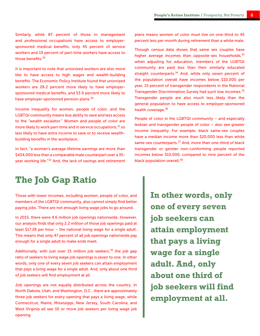Similarly, while 87 percent of those in management and professional occupations have access to employersponsored medical benefits, only 45 percent of service workers and 19 percent of part-time workers have access to those benefits.<sup>29</sup>

It is important to note that unionized workers are also more like to have access to high wages and wealth-building benefits. The Economic Policy Institute found that unionized workers are 28.2 percent more likely to have employersponsored medical benefits, and 53.9 percent more likely to have employer-sponsored pension plans.<sup>30</sup>

Income inequality for women, people of color, and the LGBTQI community means less ability to save and less access to the "wealth escalator." Women and people of color are more likely to work part-time and in service occupations, $31$  so less likely to have extra income to save or to receive wealthbuilding benefits in the workplace.

In fact, "a woman's average lifetime earnings are more than \$434,000 less than a comparable male counterpart over a 35 year working life."<sup>32</sup> And, the lack of savings and retirement plans means women of color must live on one-third to 45 percent less per month during retirement than a white male.

Though census data shows that same sex couples have higher average incomes than opposite-sex households,  $33$ when adjusting for education, members of the LGBTQI community are paid less than their similarly educated straight counterparts.<sup>34</sup> And, while only seven percent of the population overall have incomes below \$10,000 per year, 15 percent of transgender respondents in the National Transgender Discrimination Survey had such low incomes.<sup>35</sup> Transgender people are also much less likely than the general population to have access to employer-sponsored health coverage.<sup>36</sup>

People of color in the LGBTQI community – and especially lesbian and transgender people of color – also see greater income inequality. For example, black same-sex couples have a median income more than \$20,000 less than white same-sex counterparts.<sup>37</sup> And, more than one-third of black transgender or gender non-conforming people reported incomes below \$10,000, compared to nine percent of the black population overall.<sup>38</sup>

#### **The Job Gap Ratio**

Those with lower incomes, including women, people of color, and members of the LGBTQI community, also cannot simply find better paying jobs. There are not enough living wage jobs to go around.

In 2015, there were 4.6 million job openings nationwide. However, our analysis finds that only 2.2 million of those job openings paid at least \$17.28 per hour – the national living wage for a single adult. This means that only 47 percent of all job openings nationwide pay enough for a single adult to make ends meet.

Additionally, with just over 15 million job seekers, $39$  the job gap ratio of seekers to living wage job openings is seven to one. In other words, only one of every seven job seekers can attain employment that pays a living wage for a single adult. And, only about one third of job seekers will find employment at all.

Job openings are not equally distributed across the country. In North Dakota, Utah, and Washington, D.C., there are approximately three job seekers for every opening that pays a living wage, while Connecticut, Maine, Mississippi, New Jersey, South Carolina, and West Virginia all see 10 or more job seekers per living wage job opening.

**In other words, only one of every seven job seekers can attain employment that pays a living wage for a single adult. And, only about one third of job seekers will find employment at all.**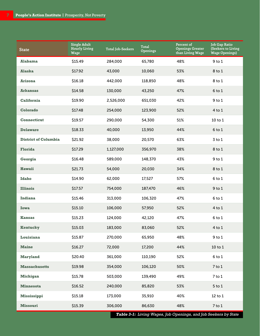| <b>State</b>                | Single Adult<br><b>Hourly Living</b><br>Wage | Total Job-Seekers | Total<br><b>Openings</b> | Percent of<br><b>Openings Greater</b><br>than Living Wage | Job Gap Ratio<br>(Seekers to Living<br><b>Wage Openings)</b> |
|-----------------------------|----------------------------------------------|-------------------|--------------------------|-----------------------------------------------------------|--------------------------------------------------------------|
| Alabama                     | \$15.49                                      | 284,000           | 65,780                   | 48%                                                       | $9$ to $1$                                                   |
| Alaska                      | \$17.92                                      | 43,000            | 10,060                   | 53%                                                       | 8 to 1                                                       |
| <b>Arizona</b>              | \$16.18                                      | 442,000           | 118,850                  | 48%                                                       | 8 to 1                                                       |
| <b>Arkansas</b>             | \$14.58                                      | 130,000           | 43,250                   | 47%                                                       | $6$ to $1$                                                   |
| <b>California</b>           | \$19.90                                      | 2,526,000         | 651,030                  | 42%                                                       | $9$ to $1$                                                   |
| Colorado                    | \$17.48                                      | 254,000           | 123,900                  | 52%                                                       | $4$ to $1$                                                   |
| <b>Connecticut</b>          | \$19.57                                      | 290,000           | 54,300                   | 51%                                                       | 10 to 1                                                      |
| <b>Delaware</b>             | \$18.33                                      | 40,000            | 13,950                   | 44%                                                       | $6$ to $1$                                                   |
| <b>District of Columbia</b> | \$21.92                                      | 38,000            | 20,570                   | 63%                                                       | $3$ to $1$                                                   |
| <b>Florida</b>              | \$17.29                                      | 1,127,000         | 356,970                  | 38%                                                       | 8 to 1                                                       |
| Georgia                     | \$16.48                                      | 589,000           | 148,370                  | 43%                                                       | $9$ to $1$                                                   |
| <b>Hawaii</b>               | \$21.73                                      | 54,000            | 20,030                   | 34%                                                       | 8 to 1                                                       |
| <b>Idaho</b>                | \$14.90                                      | 62,000            | 17,527                   | 57%                                                       | $6$ to $1$                                                   |
| <b>Illinois</b>             | \$17.57                                      | 754,000           | 187,470                  | 46%                                                       | $9$ to $1$                                                   |
| Indiana                     | \$15.46                                      | 313,000           | 106,320                  | 47%                                                       | $6$ to $1$                                                   |
| <b>Iowa</b>                 | \$15.10                                      | 106,000           | 57,950                   | 52%                                                       | $4$ to $1$                                                   |
| <b>Kansas</b>               | \$15.23                                      | 124,000           | 42,120                   | 47%                                                       | $6$ to $1$                                                   |
| Kentucky                    | \$15.03                                      | 183,000           | 83,060                   | 52%                                                       | $4$ to $1$                                                   |
| Louisiana                   | \$15.87                                      | 270,000           | 65,950                   | 48%                                                       | $9$ to $1$                                                   |
| <b>Maine</b>                | \$16.27                                      | 72,000            | 17,200                   | 44%                                                       | 10 to 1                                                      |
| <b>Maryland</b>             | \$20.40                                      | 361,000           | 110,190                  | 52%                                                       | $6$ to $1$                                                   |
| <b>Massachusetts</b>        | \$19.98                                      | 354,000           | 106,120                  | 50%                                                       | $7$ to $1$                                                   |
| <b>Michigan</b>             | \$15.78                                      | 503,000           | 139,490                  | 49%                                                       | $7$ to $1$                                                   |
| <b>Minnesota</b>            | \$16.52                                      | 240,000           | 85,820                   | 53%                                                       | $5$ to $1$                                                   |
| Mississippi                 | \$15.18                                      | 173,000           | 35,910                   | 40%                                                       | $12$ to $1$                                                  |
| <b>Missouri</b>             | \$15.39                                      | 306,000           | 86,630                   | 48%                                                       | $7$ to $1$                                                   |

**Table 3-1:** Living Wages, Job Openings, and Job Seekers by State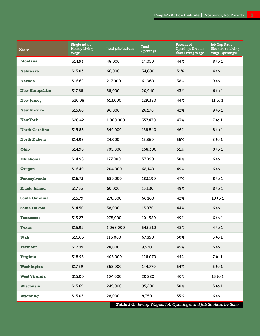| <b>State</b>          | <b>Single Adult</b><br><b>Hourly Living</b><br><b>Wage</b> | <b>Total Job-Seekers</b> | Total<br><b>Openings</b> | Percent of<br><b>Openings Greater</b><br>than Living Wage | Job Gap Ratio<br>(Seekers to Living<br><b>Wage Openings)</b> |
|-----------------------|------------------------------------------------------------|--------------------------|--------------------------|-----------------------------------------------------------|--------------------------------------------------------------|
| <b>Montana</b>        | \$14.93                                                    | 48,000                   | 14,050                   | 44%                                                       | 8 to 1                                                       |
| <b>Nebraska</b>       | \$15.03                                                    | 66,000                   | 34,680                   | 51%                                                       | $4$ to $1$                                                   |
| <b>Nevada</b>         | \$16.62                                                    | 217,000                  | 61,960                   | 38%                                                       | $9$ to $1$                                                   |
| <b>New Hampshire</b>  | \$17.68                                                    | 58,000                   | 20,940                   | 43%                                                       | $6$ to $1$                                                   |
| <b>New Jersey</b>     | \$20.08                                                    | 613,000                  | 129,380                  | 44%                                                       | $11$ to $1$                                                  |
| <b>New Mexico</b>     | \$15.60                                                    | 96,000                   | 26,170                   | 42%                                                       | $9$ to $1$                                                   |
| <b>New York</b>       | \$20.42                                                    | 1,060,000                | 357,430                  | 43%                                                       | $7$ to $1$                                                   |
| <b>North Carolina</b> | \$15.88                                                    | 549,000                  | 158,540                  | 46%                                                       | 8 to 1                                                       |
| <b>North Dakota</b>   | \$14.98                                                    | 24,000                   | 15,360                   | 55%                                                       | $3$ to $1$                                                   |
| <b>Ohio</b>           | \$14.96                                                    | 705,000                  | 168,300                  | 51%                                                       | 8 to 1                                                       |
| <b>Oklahoma</b>       | \$14.96                                                    | 177,000                  | 57,090                   | 50%                                                       | 6 to 1                                                       |
| Oregon                | \$16.49                                                    | 204,000                  | 68,140                   | 49%                                                       | $6$ to $1$                                                   |
| Pennsylvania          | \$16.73                                                    | 689,000                  | 183,190                  | 47%                                                       | 8 to 1                                                       |
| <b>Rhode Island</b>   | \$17.33                                                    | 60,000                   | 15,180                   | 49%                                                       | 8 to 1                                                       |
| <b>South Carolina</b> | \$15.79                                                    | 278,000                  | 66,160                   | 42%                                                       | 10 to 1                                                      |
| <b>South Dakota</b>   | \$14.50                                                    | 38,000                   | 13,970                   | 44%                                                       | $6$ to $1$                                                   |
| <b>Tennessee</b>      | \$15.27                                                    | 275,000                  | 101,520                  | 49%                                                       | 6 to 1                                                       |
| Texas                 | \$15.91                                                    | 1,068,000                | 543,510                  | 48%                                                       | $4$ to $1$                                                   |
| <b>Utah</b>           | \$16.06                                                    | 116,000                  | 67,890                   | 50%                                                       | $3$ to $1$                                                   |
| <b>Vermont</b>        | \$17.89                                                    | 28,000                   | 9,530                    | 45%                                                       | $6$ to $1$                                                   |
| <b>Virginia</b>       | \$18.95                                                    | 405,000                  | 128,070                  | 44%                                                       | $7$ to $1$                                                   |
| <b>Washington</b>     | \$17.59                                                    | 358,000                  | 144,770                  | 54%                                                       | $5$ to $1$                                                   |
| <b>West Virginia</b>  | \$15.00                                                    | 104,000                  | 20,220                   | 40%                                                       | $13$ to $1$                                                  |
| <b>Wisconsin</b>      | \$15.69                                                    | 249,000                  | 95,200                   | 50%                                                       | $5$ to $1$                                                   |
| Wyoming               | \$15.05                                                    | 28,000                   | 8,350                    | 55%                                                       | $6$ to $1$                                                   |

**Table 3-4:** Living Wages, Job Openings, and Jo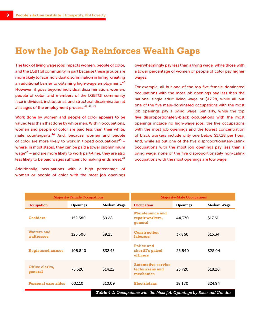### **How the Job Gap Reinforces Wealth Gaps**

The lack of living wage jobs impacts women, people of color, and the LGBTQI community in part because these groups are more likely to face individual discrimination in hiring, creating an additional barrier to obtaining high-wage employment.<sup>40</sup> However, it goes beyond individual discrimination; women, people of color, and members of the LGBTQI community face individual, institutional, and structural discrimination at all stages of the employment process.<sup>41</sup> <sup>42</sup> <sup>43</sup>

Work done by women and people of color appears to be valued less than that done by white men. Within occupations, women and people of color are paid less than their white, male counterparts.<sup>44</sup> And, because women and people of color are more likely to work in tipped occupations<sup>45</sup> – where, in most states, they can be paid a lower subminimum wage<sup>46</sup> – and are more likely to work part-time, they are also less likely to be paid wages sufficient to making ends meet.<sup>47</sup>

Additionally, occupations with a high percentage of women or people of color with the most job openings overwhelmingly pay less than a living wage, while those with a lower percentage of women or people of color pay higher wages.

For example, all but one of the top five female-dominated occupations with the most job openings pay less than the national single adult living wage of \$17.28, while all but one of the five male-dominated occupations with the most job openings pay a living wage. Similarly, while the top five disproportionately-black occupations with the most openings include no high-wage jobs, the five occupations with the most job openings and the lowest concentration of black workers include only one below \$17.28 per hour. And, while all but one of the five disproportionately-Latinx occupations with the most job openings pay less than a living wage, none of the five disproportionately non-Latinx occupations with the most openings are low wage.

| <b>Majority-Female Occupations</b>                                   |          |             | <b>Majority-Male Occupations</b>                          |          |                    |  |
|----------------------------------------------------------------------|----------|-------------|-----------------------------------------------------------|----------|--------------------|--|
| Occupation                                                           | Openings | Median Wage | <b>Occupation</b>                                         | Openings | <b>Median Wage</b> |  |
| <b>Cashiers</b>                                                      | 152,380  | \$9.28      | <b>Maintenance and</b><br>repair workers,<br>qeneral      | 44,370   | \$17.61            |  |
| <b>Waiters and</b><br>waitresses                                     | 125,500  | \$9.25      | <b>Construction</b><br><b>laborers</b>                    | 37,860   | \$15.34            |  |
| <b>Registered nurses</b>                                             | 108,840  | \$32.45     | <b>Police and</b><br>sheriff's patrol<br>officers         | 25,840   | \$28.04            |  |
| Office clerks,<br>qeneral                                            | 75,620   | \$14.22     | <b>Automotive service</b><br>technicians and<br>mechanics | 23,720   | \$18.20            |  |
| <b>Personal care aides</b>                                           | 60.110   | \$10.09     | <b>Electricians</b>                                       | 18,180   | \$24.94            |  |
| Table 4-1: Occupations with the Most Job Openings by Race and Gender |          |             |                                                           |          |                    |  |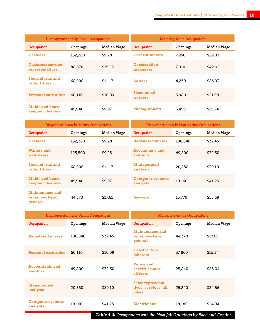| Disproprotionately-Black Occupations        |          |                    | <b>Majority-Male Occupations</b> |          |             |
|---------------------------------------------|----------|--------------------|----------------------------------|----------|-------------|
| <b>Occupation</b>                           | Openings | <b>Median Wage</b> | <b>Occupation</b>                | Openings | Median Wage |
| <b>Cashiers</b>                             | 152,380  | \$9.28             | <b>Cost estimators</b>           | 7.950    | \$29.03     |
| <b>Customer service</b><br>representatives  | 88,870   | \$15.25            | <b>Construction</b><br>managers  | 7.010    | \$42.02     |
| <b>Stock clerks and</b><br>order fillers    | 68,900   | \$11.17            | <b>Editors</b>                   | 4,250    | \$26.93     |
| <b>Personal care aides</b>                  | 60,110   | \$10.09            | <b>Sheet metal</b><br>workers    | 3,980    | \$21.99     |
| <b>Maids and house-</b><br>keeping cleaners | 45,940   | \$9.97             | <b>Photographers</b>             | 3,450    | \$15.24     |

| Disproprotionately-Latinx Occupations                |          |                    | Disproportionately Non-Latinx Occupations |                 |                    |
|------------------------------------------------------|----------|--------------------|-------------------------------------------|-----------------|--------------------|
| <b>Occupation</b>                                    | Openings | <b>Median Wage</b> | <b>Occupation</b>                         | <b>Openings</b> | <b>Median Wage</b> |
| <b>Cashiers</b>                                      | 152,380  | \$9.28             | <b>Registered nurses</b>                  | 108,840         | \$32.45            |
| <b>Waiters and</b><br>waitresses                     | 125,500  | \$9.25             | <b>Accountants and</b><br>auditors        | 49,800          | \$32.30            |
| <b>Stock clerks and</b><br>order fillers             | 68,900   | \$11.17            | <b>Management</b><br>analysts             | 20,850          | \$39.10            |
| <b>Maids and house-</b><br>keeping cleaners          | 45,940   | \$9.97             | <b>Computer systems</b><br>analysts       | 19.160          | \$41.25            |
| <b>Maintenance and</b><br>repair workers,<br>qeneral | 44,370   | \$17.61            | Lawyers                                   | 15,770          | \$55.69            |

| Disproportionately-Asian Occupations |          |             | <b>Majority-Female Occupations</b>                   |          |                    |
|--------------------------------------|----------|-------------|------------------------------------------------------|----------|--------------------|
| <b>Occupation</b>                    | Openings | Median Wage | <b>Occupation</b>                                    | Openings | <b>Median Wage</b> |
| <b>Registered nurses</b>             | 108,840  | \$32.45     | <b>Maintenance and</b><br>repair workers,<br>qeneral | 44,370   | \$17.61            |
| <b>Personal care aides</b>           | 60.110   | \$10.09     | <b>Construction</b><br><b>laborers</b>               | 37,860   | \$15.34            |
| <b>Accountants and</b><br>auditors   | 49,800   | \$32.30     | <b>Police and</b><br>sheriff's patrol<br>officers    | 25,840   | \$28.04            |
| <b>Management</b><br>analysts        | 20,850   | \$39.10     | Sales representa-<br>tives, services, all<br>other   | 25,240   | \$24.86            |
| <b>Computer systems</b><br>analysts  | 19.160   | S41.25      | <b>Electricians</b>                                  | 18,180   | \$24.94            |

**Table 4-2:** Occupations with the Most Job Openings by Race and Gender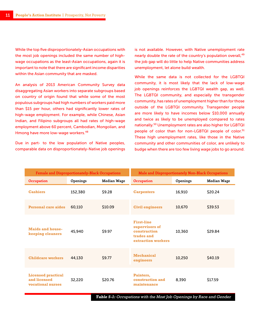While the top five disproportionately-Asian occupations with the most job openings included the same number of highwage occupations as the least-Asian occupations, again it is important to note that there are significant income disparities within the Asian community that are masked.

An analysis of 2013 American Community Survey data disaggregating Asian workers into separate subgroups based on country of origin found that while some of the most populous subgroups had high numbers of workers paid more than \$15 per hour, others had significantly lower rates of high-wage employment. For example, while Chinese, Asian Indian, and Filipino subgroups all had rates of high-wage employment above 60 percent, Cambodian, Mongolian, and Hmong have more low-wage workers.<sup>48</sup>

Due in part- to the low population of Native peoples, comparable data on disproportionately-Native job openings

is not available. However, with Native unemployment rate nearly double the rate of the country's population overall, <sup>49</sup> the job gap will do little to help Native communities address unemployment, let alone build wealth.

While the same data is not collected for the LGBTQI community, it is most likely that the lack of low-wage job openings reinforces the LGBTQI wealth gap, as well. The LGBTQI community, and especially the transgender community, has rates of unemployment higher than for those outside of the LGBTQI community. Transgender people are more likely to have incomes below \$10,000 annually and twice as likely to be unemployed compared to rates nationally.<sup>50</sup> Unemployment rates are also higher for LGBTQI people of color than for non-LGBTQI people of color.<sup>51</sup> These high unemployment rates, like those in the Native community and other communities of color, are unlikely to budge when there are too few living wage jobs to go around.

| Female and Disproportionately-Black Occupations                |          |                    | <b>Male and Disproportionately Non-Black Occupations</b>                                |          |                    |  |
|----------------------------------------------------------------|----------|--------------------|-----------------------------------------------------------------------------------------|----------|--------------------|--|
| Occupation                                                     | Openings | <b>Median Wage</b> | Occupation                                                                              | Openings | <b>Median Wage</b> |  |
| <b>Cashiers</b>                                                | 152,380  | \$9.28             | <b>Carpenters</b>                                                                       | 16,910   | \$20.24            |  |
| <b>Personal care aides</b>                                     | 60,110   | \$10.09            | <b>Civil engineers</b>                                                                  | 10,670   | \$39.53            |  |
| <b>Maids and house-</b><br>keeping cleaners                    | 45,940   | \$9.97             | <b>First-line</b><br>supervisors of<br>construction<br>trades and<br>extraction workers | 10,360   | \$29.84            |  |
| <b>Childcare workers</b>                                       | 44,130   | \$9.77             | <b>Mechanical</b><br>engineers                                                          | 10,250   | \$40.19            |  |
| <b>Licensed practical</b><br>and licensed<br>vocational nurses | 32,220   | \$20.76            | Painters,<br>construction and<br>maintenance                                            | 8,390    | \$17.59            |  |

**Table 5-1:** Occupations with the Most Job Openings by Race and Gender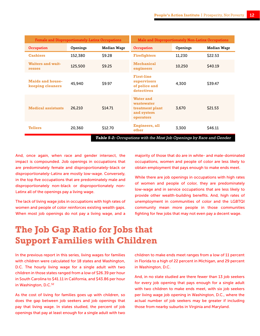| Female and Disproportionately-Latinx Occupations |          | Male and Disproportionately Non-Latinx Occupations |                                                                              |          |             |
|--------------------------------------------------|----------|----------------------------------------------------|------------------------------------------------------------------------------|----------|-------------|
| Occupation                                       | Openings | <b>Median Wage</b>                                 | Occupation                                                                   | Openings | Median Wage |
| <b>Cashiers</b>                                  | 152,380  | \$9.28                                             | <b>Firefighters</b>                                                          | 11,230   | \$22.53     |
| <b>Waiters and wait-</b><br>resses               | 125,500  | \$9.25                                             | <b>Mechanical</b><br>engineers                                               | 10,250   | \$40.19     |
| <b>Maids and house-</b><br>keeping cleaners      | 45,940   | \$9.97                                             | <b>First-line</b><br>supervisors<br>of police and<br>detectives              | 4,300    | \$39.47     |
| <b>Medical assistants</b>                        | 26,210   | \$14.71                                            | <b>Water and</b><br>wastewater<br>treatment plant<br>and system<br>operators | 3.670    | \$21.53     |
| <b>Tellers</b>                                   | 20,360   | \$12.70                                            | Engineers, all<br>other                                                      | 3,300    | \$46.11     |
|                                                  |          |                                                    | <b>Table 5-2:</b> Occupations with the Most Job Openings by Race and Gender  |          |             |

And, once again, when race and gender intersect, the impact is compounded. Job openings in occupations that are predominately female and disproportionately-black or disproportionately-Latinx are mostly low-wage. Conversely, in the top five occupations that are predominately male and disproportionately non-black or disproportionately non-Latinx all of the openings pay a living wage.

The lack of living wage jobs in occupations with high rates of women and people of color reinforces existing wealth gaps. When most job openings do not pay a living wage, and a

majority of those that do are in white- and male-dominated occupations, women and people of color are less likely to obtain employment that pays enough to make ends meet.

While there are job openings in occupations with high rates of women and people of color, they are predominately low-wage and in service occupations that are less likely to provide other wealth-building benefits. And, high rates of unemployment in communities of color and the LGBTQI community mean more people in those communities fighting for few jobs that may not even pay a decent wage.

## **The Job Gap Ratio for Jobs that Support Families with Children**

In the previous report in this series, living wages for families with children were calculated for 18 states and Washington, D.C. The hourly living wage for a single adult with two children in those states ranged from a low of \$26.39 per hour in South Carolina to \$41.11 in California, and \$43.86 per hour in Washington, D.C.<sup>52</sup>

As the cost of living for families goes up with children, so does the gap between job seekers and job openings that pay that living wage. In states studied, the percent of job openings that pay at least enough for a single adult with two children to make ends meet ranges from a low of 11 percent in Florida to a high of 22 percent in Michigan, and 29 percent in Washington, D.C.

And, in no state studied are there fewer than 13 job seekers for every job opening that pays enough for a single adult with two children to make ends meet, with six job seekers per living wage job opening in Washington, D.C., where the actual number of job seekers may be greater if including those from nearby suburbs in Virginia and Maryland.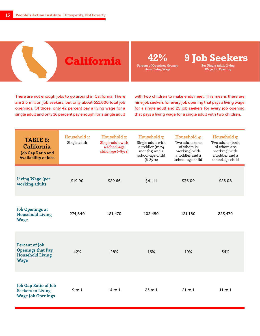**California**

**Percent of Openings Greater** 

**than Living Wage**

**42% 9 Job Seekers Per Single Adult Living** 

**Wage Job Opening**

There are not enough jobs to go around in California. There are 2.5 million job seekers, but only about 651,000 total job openings. Of those, only 42 percent pay a living wage for a single adult and only 16 percent pay enough for a single adult with two children to make ends meet. This means there are nine job seekers for every job opening that pays a living wage for a single adult and 25 job seekers for every job opening that pays a living wage for a single adult with two children.

| TABLE 6:<br>California<br>Job Gap Ratio and<br><b>Availability of Jobs</b>           | Household 1:<br>Single adult | Household 2:<br>Single adult with<br>a school-age<br>child (age 6-8yrs) | Household 3:<br>Single adult with<br>a toddler (12-24<br>months) and a<br>school-age child<br>$(6-8yrs)$ | Household 4:<br>Two adults (one<br>of whom is<br>working) with<br>a toddler and a<br>school-age child | Household 5:<br>Two adults (both<br>of whom are<br>working) with<br>a toddler and a<br>school age child |
|--------------------------------------------------------------------------------------|------------------------------|-------------------------------------------------------------------------|----------------------------------------------------------------------------------------------------------|-------------------------------------------------------------------------------------------------------|---------------------------------------------------------------------------------------------------------|
| <b>Living Wage (per</b><br>working adult)                                            | \$19.90                      | \$29.66                                                                 | \$41.11                                                                                                  | \$36.09                                                                                               | \$25.08                                                                                                 |
| <b>Job Openings at</b><br><b>Household Living</b><br><b>Wage</b>                     | 274,840                      | 181,470                                                                 | 102,450                                                                                                  | 121,180                                                                                               | 223,470                                                                                                 |
| Percent of Job<br><b>Openings that Pay</b><br><b>Household Living</b><br><b>Wage</b> | 42%                          | 28%                                                                     | 16%                                                                                                      | 19%                                                                                                   | 34%                                                                                                     |
| Job Gap Ratio of Job<br><b>Seekers to Living</b><br><b>Wage Job Openings</b>         | $9$ to $1$                   | 14 to $1$                                                               | $25$ to $1$                                                                                              | $21$ to $1$                                                                                           | 11 to $1$                                                                                               |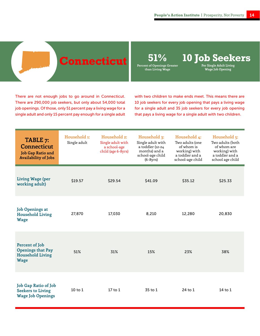## **Connecticut**

**Percent of Openings Greater** 

**than Living Wage**

**51% 10 Job Seekers**

**Per Single Adult Living Wage Job Opening**

There are not enough jobs to go around in Connecticut. There are 290,000 job seekers, but only about 54,000 total job openings. Of those, only 51 percent pay a living wage for a single adult and only 15 percent pay enough for a single adult with two children to make ends meet. This means there are 10 job seekers for every job opening that pays a living wage for a single adult and 35 job seekers for every job opening that pays a living wage for a single adult with two children.

| TABLE 7:<br><b>Connecticut</b><br>Job Gap Ratio and<br><b>Availability of Jobs</b> | Household 1:<br>Single adult | Household 2:<br>Single adult with<br>a school-age<br>child (age 6-8yrs) | Household 3:<br>Single adult with<br>a toddler (12-24<br>months) and a<br>school-age child<br>$(6-8yrs)$ | Household 4:<br>Two adults (one<br>of whom is<br>working) with<br>a toddler and a<br>school-age child | Household 5:<br>Two adults (both<br>of whom are<br>working) with<br>a toddler and a<br>school age child |
|------------------------------------------------------------------------------------|------------------------------|-------------------------------------------------------------------------|----------------------------------------------------------------------------------------------------------|-------------------------------------------------------------------------------------------------------|---------------------------------------------------------------------------------------------------------|
| <b>Living Wage (per</b><br>working adult)                                          | \$19.57                      | \$29.54                                                                 | \$41.09                                                                                                  | \$35.12                                                                                               | \$25.33                                                                                                 |
| <b>Job Openings at</b><br><b>Household Living</b><br><b>Wage</b>                   | 27,870                       | 17,030                                                                  | 8,210                                                                                                    | 12,280                                                                                                | 20,830                                                                                                  |
| Percent of Job<br>Openings that Pay<br><b>Household Living</b><br><b>Wage</b>      | 51%                          | 31%                                                                     | 15%                                                                                                      | 23%                                                                                                   | 38%                                                                                                     |
| Job Gap Ratio of Job<br><b>Seekers to Living</b><br><b>Wage Job Openings</b>       | $10$ to $1$                  | 17 to 1                                                                 | 35 to 1                                                                                                  | 24 to 1                                                                                               | 14 to 1                                                                                                 |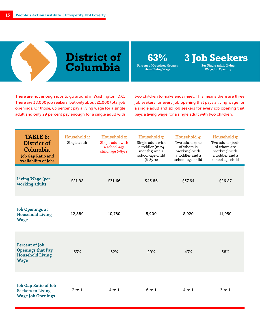## **District of Columbia**

**63% 3 Job Seekers Per Single Adult Living** 

**Wage Job Opening**

**Percent of Openings Greater than Living Wage**

There are not enough jobs to go around in Washington, D.C. There are 38,000 job seekers, but only about 21,000 total job openings. Of those, 63 percent pay a living wage for a single

adult and only 29 percent pay enough for a single adult with

two children to make ends meet. This means there are three job seekers for every job opening that pays a living wage for a single adult and six job seekers for every job opening that pays a living wage for a single adult with two children.

| <b>TABLE 8:</b><br>District of<br>Columbia<br>Job Gap Ratio and<br><b>Availability of Jobs</b> | Household 1:<br>Single adult | Household 2:<br>Single adult with<br>a school-age<br>child (age 6-8yrs) | Household 3:<br>Single adult with<br>a toddler (12-24<br>months) and a<br>school-age child<br>$(6-8yrs)$ | Household 4:<br>Two adults (one<br>of whom is<br>working) with<br>a toddler and a<br>school-age child | Household 5:<br>Two adults (both<br>of whom are<br>working) with<br>a toddler and a<br>school age child |
|------------------------------------------------------------------------------------------------|------------------------------|-------------------------------------------------------------------------|----------------------------------------------------------------------------------------------------------|-------------------------------------------------------------------------------------------------------|---------------------------------------------------------------------------------------------------------|
| Living Wage (per<br>working adult)                                                             | \$21.92                      | \$31.66                                                                 | \$43.86                                                                                                  | \$37.64                                                                                               | \$26.87                                                                                                 |
| <b>Job Openings at</b><br><b>Household Living</b><br><b>Wage</b>                               | 12,880                       | 10,780                                                                  | 5,900                                                                                                    | 8,920                                                                                                 | 11,950                                                                                                  |
| Percent of Job<br><b>Openings that Pay</b><br><b>Household Living</b><br><b>Wage</b>           | 63%                          | 52%                                                                     | 29%                                                                                                      | 43%                                                                                                   | 58%                                                                                                     |
| Job Gap Ratio of Job<br><b>Seekers to Living</b><br><b>Wage Job Openings</b>                   | $3$ to $1$                   | 4 to 1                                                                  | $6$ to $1$                                                                                               | $4$ to $1$                                                                                            | $3$ to $1$                                                                                              |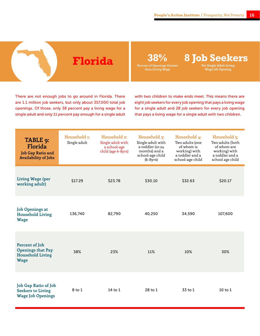**Florida 38% 8 Job Seekers Per Single Adult Living** 

**Wage Job Opening**

There are not enough jobs to go around in Florida. There are 1.1 million job seekers, but only about 357,000 total job openings. Of those, only 38 percent pay a living wage for a single adult and only 11 percent pay enough for a single adult with two children to make ends meet. This means there are eight job seekers for every job opening that pays a living wage for a single adult and 28 job seekers for every job opening that pays a living wage for a single adult with two children.

| TABLE 9:<br>Florida<br><b>Job Gap Ratio and</b><br><b>Availability of Jobs</b>       | Household 1:<br>Single adult | Household 2:<br>Single adult with<br>a school-age<br>child (age 6-8yrs) | Household 3:<br>Single adult with<br>a toddler (12-24<br>months) and a<br>school-age child<br>$(6-8yrs)$ | Household 4:<br>Two adults (one<br>of whom is<br>working) with<br>a toddler and a<br>school-age child | Household 5:<br>Two adults (both<br>of whom are<br>working) with<br>a toddler and a<br>school age child |
|--------------------------------------------------------------------------------------|------------------------------|-------------------------------------------------------------------------|----------------------------------------------------------------------------------------------------------|-------------------------------------------------------------------------------------------------------|---------------------------------------------------------------------------------------------------------|
| Living Wage (per<br>working adult)                                                   | \$17.29                      | \$23.78                                                                 | \$30.10                                                                                                  | \$32.63                                                                                               | \$20.17                                                                                                 |
| <b>Job Openings at</b><br><b>Household Living</b><br><b>Wage</b>                     | 136,740                      | 82,790                                                                  | 40,250                                                                                                   | 34,590                                                                                                | 107,600                                                                                                 |
| Percent of Job<br><b>Openings that Pay</b><br><b>Household Living</b><br><b>Wage</b> | 38%                          | 23%                                                                     | 11%                                                                                                      | 10%                                                                                                   | 30%                                                                                                     |
| Job Gap Ratio of Job<br><b>Seekers to Living</b><br><b>Wage Job Openings</b>         | 8 to 1                       | 14 to $1$                                                               | 28 to 1                                                                                                  | 33 to 1                                                                                               | $10$ to $1$                                                                                             |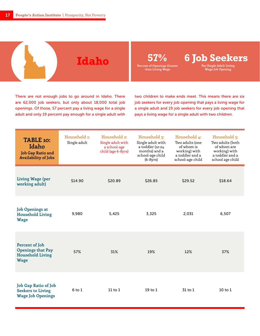

There are not enough jobs to go around in Idaho. There are 62,000 job seekers, but only about 18,000 total job openings. Of those, 57 percent pay a living wage for a single adult and only 19 percent pay enough for a single adult with

two children to make ends meet. This means there are six job seekers for every job opening that pays a living wage for a single adult and 19 job seekers for every job opening that pays a living wage for a single adult with two children.

| TABLE 10:<br>Idaho<br>Job Gap Ratio and<br><b>Availability of Jobs</b>               | Household 1:<br>Single adult | Household 2:<br>Single adult with<br>a school-age<br>child (age 6-8yrs) | Household 3:<br>Single adult with<br>a toddler (12-24<br>months) and a<br>school-age child<br>$(6-8yrs)$ | Household 4:<br>Two adults (one<br>of whom is<br>working) with<br>a toddler and a<br>school-age child | Household 5:<br>Two adults (both<br>of whom are<br>working) with<br>a toddler and a<br>school age child |
|--------------------------------------------------------------------------------------|------------------------------|-------------------------------------------------------------------------|----------------------------------------------------------------------------------------------------------|-------------------------------------------------------------------------------------------------------|---------------------------------------------------------------------------------------------------------|
| Living Wage (per<br>working adult)                                                   | \$14.90                      | \$20.89                                                                 | \$26.85                                                                                                  | \$29.52                                                                                               | \$18.64                                                                                                 |
| <b>Job Openings at</b><br><b>Household Living</b><br><b>Wage</b>                     | 9,980                        | 5,425                                                                   | 3,325                                                                                                    | 2,031                                                                                                 | 6,507                                                                                                   |
| Percent of Job<br><b>Openings that Pay</b><br><b>Household Living</b><br><b>Wage</b> | 57%                          | 31%                                                                     | 19%                                                                                                      | 12%                                                                                                   | 37%                                                                                                     |
| Job Gap Ratio of Job<br><b>Seekers to Living</b><br><b>Wage Job Openings</b>         | $6$ to $1$                   | $11$ to $1$                                                             | 19 to 1                                                                                                  | 31 to 1                                                                                               | $10$ to $1$                                                                                             |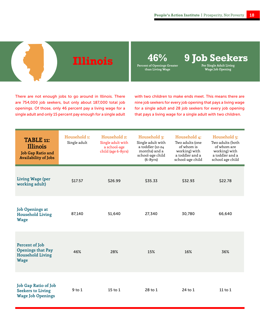**Illinois 46% 9 Job Seekers Per Single Adult Living** 

**Wage Job Opening**

There are not enough jobs to go around in Illinois. There are 754,000 job seekers, but only about 187,000 total job openings. Of those, only 46 percent pay a living wage for a single adult and only 15 percent pay enough for a single adult with two children to make ends meet. This means there are nine job seekers for every job opening that pays a living wage for a single adult and 28 job seekers for every job opening that pays a living wage for a single adult with two children.

| TABLE 11:<br><b>Illinois</b><br>Job Gap Ratio and<br><b>Availability of Jobs</b>     | Household 1:<br>Single adult | Household 2:<br>Single adult with<br>a school-age<br>child (age 6-8yrs) | Household 3:<br>Single adult with<br>a toddler (12-24<br>months) and a<br>school-age child<br>$(6-8yrs)$ | Household 4:<br>Two adults (one<br>of whom is<br>working) with<br>a toddler and a<br>school-age child | Household 5:<br>Two adults (both<br>of whom are<br>working) with<br>a toddler and a<br>school age child |
|--------------------------------------------------------------------------------------|------------------------------|-------------------------------------------------------------------------|----------------------------------------------------------------------------------------------------------|-------------------------------------------------------------------------------------------------------|---------------------------------------------------------------------------------------------------------|
| Living Wage (per<br>working adult)                                                   | \$17.57                      | \$26.99                                                                 | \$35.33                                                                                                  | \$32.93                                                                                               | \$22.78                                                                                                 |
| <b>Job Openings at</b><br><b>Household Living</b><br><b>Wage</b>                     | 87,140                       | 51,640                                                                  | 27,340                                                                                                   | 30,780                                                                                                | 66,640                                                                                                  |
| Percent of Job<br><b>Openings that Pay</b><br><b>Household Living</b><br><b>Wage</b> | 46%                          | 28%                                                                     | 15%                                                                                                      | 16%                                                                                                   | 36%                                                                                                     |
| Job Gap Ratio of Job<br><b>Seekers to Living</b><br><b>Wage Job Openings</b>         | $9$ to $1$                   | $15$ to $1$                                                             | 28 to 1                                                                                                  | 24 to 1                                                                                               | $11$ to $1$                                                                                             |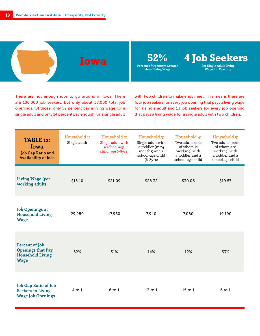

There are not enough jobs to go around in Iowa. There are 106,000 job seekers, but only about 58,000 total job openings. Of those, only 52 percent pay a living wage for a single adult and only 14 percent pay enough for a single adult with two children to make ends meet. This means there are four job seekers for every job opening that pays a living wage for a single adult and 13 job seekers for every job opening that pays a living wage for a single adult with two children.

| TABLE 12:<br>Iowa<br><b>Job Gap Ratio and</b><br><b>Availability of Jobs</b>         | Household 1:<br>Single adult | Household 2:<br>Single adult with<br>a school-age<br>child (age 6-8yrs) | Household 3:<br>Single adult with<br>a toddler (12-24<br>months) and a<br>school-age child<br>$(6-8yrs)$ | Household 4:<br>Two adults (one<br>of whom is<br>working) with<br>a toddler and a<br>school-age child | Household 5:<br>Two adults (both<br>of whom are<br>working) with<br>a toddler and a<br>school age child |
|--------------------------------------------------------------------------------------|------------------------------|-------------------------------------------------------------------------|----------------------------------------------------------------------------------------------------------|-------------------------------------------------------------------------------------------------------|---------------------------------------------------------------------------------------------------------|
| <b>Living Wage (per</b><br>working adult)                                            | \$15.10                      | \$21.09                                                                 | \$28.32                                                                                                  | \$30.06                                                                                               | \$19.57                                                                                                 |
| <b>Job Openings at</b><br><b>Household Living</b><br><b>Wage</b>                     | 29,980                       | 17,960                                                                  | 7,940                                                                                                    | 7,080                                                                                                 | 19,190                                                                                                  |
| Percent of Job<br><b>Openings that Pay</b><br><b>Household Living</b><br><b>Wage</b> | 52%                          | 31%                                                                     | 14%                                                                                                      | 12%                                                                                                   | 33%                                                                                                     |
| <b>Job Gap Ratio of Job</b><br><b>Seekers to Living</b><br><b>Wage Job Openings</b>  | $4$ to $1$                   | $6$ to $1$                                                              | 13 to 1                                                                                                  | $15$ to $1$                                                                                           | $6$ to 1                                                                                                |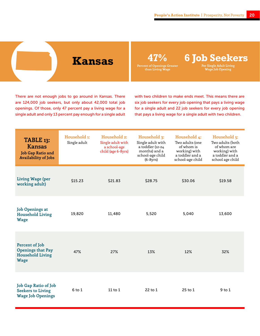**Kansas 47% 6 Job Seekers Per Single Adult Living** 

**Wage Job Opening**

There are not enough jobs to go around in Kansas. There are 124,000 job seekers, but only about 42,000 total job openings. Of those, only 47 percent pay a living wage for a single adult and only 13 percent pay enough for a single adult with two children to make ends meet. This means there are six job seekers for every job opening that pays a living wage for a single adult and 22 job seekers for every job opening that pays a living wage for a single adult with two children.

| TABLE 13:<br><b>Kansas</b><br>Job Gap Ratio and<br><b>Availability of Jobs</b>       | Household 1:<br>Single adult | Household 2:<br>Single adult with<br>a school-age<br>child (age 6-8yrs) | Household 3:<br>Single adult with<br>a toddler (12-24<br>months) and a<br>school-age child<br>$(6-8yrs)$ | Household 4:<br>Two adults (one<br>of whom is<br>working) with<br>a toddler and a<br>school-age child | Household 5:<br>Two adults (both<br>of whom are<br>working) with<br>a toddler and a<br>school age child |
|--------------------------------------------------------------------------------------|------------------------------|-------------------------------------------------------------------------|----------------------------------------------------------------------------------------------------------|-------------------------------------------------------------------------------------------------------|---------------------------------------------------------------------------------------------------------|
| <b>Living Wage (per</b><br>working adult)                                            | \$15.23                      | \$21.83                                                                 | \$28.75                                                                                                  | \$30.06                                                                                               | \$19.58                                                                                                 |
| <b>Job Openings at</b><br><b>Household Living</b><br><b>Wage</b>                     | 19,820                       | 11,480                                                                  | 5,520                                                                                                    | 5,040                                                                                                 | 13,600                                                                                                  |
| Percent of Job<br><b>Openings that Pay</b><br><b>Household Living</b><br><b>Wage</b> | 47%                          | 27%                                                                     | 13%                                                                                                      | 12%                                                                                                   | 32%                                                                                                     |
| Job Gap Ratio of Job<br><b>Seekers to Living</b><br><b>Wage Job Openings</b>         | $6$ to $1$                   | $11$ to $1$                                                             | $22$ to $1$                                                                                              | $25$ to $1$                                                                                           | $9$ to $1$                                                                                              |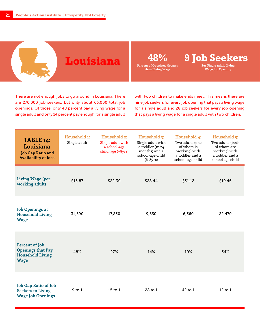**Louisiana 48% 9 Job Seekers**

**Per Single Adult Living Wage Job Opening**

There are not enough jobs to go around in Louisiana. There are 270,000 job seekers, but only about 66,000 total job openings. Of those, only 48 percent pay a living wage for a single adult and only 14 percent pay enough for a single adult with two children to make ends meet. This means there are nine job seekers for every job opening that pays a living wage for a single adult and 28 job seekers for every job opening that pays a living wage for a single adult with two children.

| TABLE 14:<br>Louisiana<br>Job Gap Ratio and<br><b>Availability of Jobs</b>           | Household 1:<br>Single adult | Household 2:<br>Single adult with<br>a school-age<br>child (age 6-8yrs) | Household 3:<br>Single adult with<br>a toddler (12-24<br>months) and a<br>school-age child<br>$(6-8yrs)$ | Household 4:<br>Two adults (one<br>of whom is<br>working) with<br>a toddler and a<br>school-age child | Household 5:<br>Two adults (both<br>of whom are<br>working) with<br>a toddler and a<br>school age child |
|--------------------------------------------------------------------------------------|------------------------------|-------------------------------------------------------------------------|----------------------------------------------------------------------------------------------------------|-------------------------------------------------------------------------------------------------------|---------------------------------------------------------------------------------------------------------|
| <b>Living Wage (per</b><br>working adult)                                            | \$15.87                      | \$22.30                                                                 | \$28.44                                                                                                  | \$31.12                                                                                               | \$19.46                                                                                                 |
| <b>Job Openings at</b><br><b>Household Living</b><br><b>Wage</b>                     | 31,590                       | 17,830                                                                  | 9,530                                                                                                    | 6,360                                                                                                 | 22,470                                                                                                  |
| Percent of Job<br><b>Openings that Pay</b><br><b>Household Living</b><br><b>Wage</b> | 48%                          | 27%                                                                     | 14%                                                                                                      | 10%                                                                                                   | 34%                                                                                                     |
| Job Gap Ratio of Job<br><b>Seekers to Living</b><br><b>Wage Job Openings</b>         | $9$ to $1$                   | $15$ to $1$                                                             | 28 to 1                                                                                                  | 42 to 1                                                                                               | $12$ to $1$                                                                                             |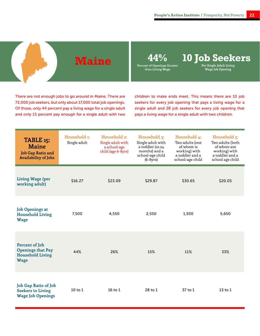**Maine 44% 10 Job Seekers Per Single Adult Living** 

**Wage Job Opening**

There are not enough jobs to go around in Maine. There are 72,000 job seekers, but only about 17,000 total job openings. Of those, only 44 percent pay a living wage for a single adult and only 15 percent pay enough for a single adult with two children to make ends meet. This means there are 10 job seekers for every job opening that pays a living wage for a single adult and 28 job seekers for every job opening that pays a living wage for a single adult with two children.

| TABLE 15:<br><b>Maine</b><br>Job Gap Ratio and<br><b>Availability of Jobs</b>        | Household 1:<br>Single adult | Household 2:<br>Single adult with<br>a school-age<br>child (age 6-8yrs) | Household 3:<br>Single adult with<br>a toddler (12-24<br>months) and a<br>school-age child<br>$(6-8yrs)$ | Household 4:<br>Two adults (one<br>of whom is<br>working) with<br>a toddler and a<br>school-age child | Household 5:<br>Two adults (both<br>of whom are<br>working) with<br>a toddler and a<br>school age child |
|--------------------------------------------------------------------------------------|------------------------------|-------------------------------------------------------------------------|----------------------------------------------------------------------------------------------------------|-------------------------------------------------------------------------------------------------------|---------------------------------------------------------------------------------------------------------|
| <b>Living Wage (per</b><br>working adult)                                            | \$16.27                      | \$23.09                                                                 | \$29.87                                                                                                  | \$30.65                                                                                               | \$20.05                                                                                                 |
| <b>Job Openings at</b><br><b>Household Living</b><br><b>Wage</b>                     | 7,500                        | 4,550                                                                   | 2,550                                                                                                    | 1,930                                                                                                 | 5,650                                                                                                   |
| Percent of Job<br><b>Openings that Pay</b><br><b>Household Living</b><br><b>Wage</b> | 44%                          | 26%                                                                     | 15%                                                                                                      | 11%                                                                                                   | 33%                                                                                                     |
| <b>Job Gap Ratio of Job</b><br><b>Seekers to Living</b><br><b>Wage Job Openings</b>  | $10$ to $1$                  | $16$ to $1$                                                             | 28 to 1                                                                                                  | 37 to 1                                                                                               | $13$ to $1$                                                                                             |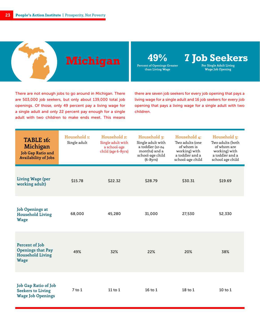**Michigan 49% 7 Job Seekers Per Single Adult Living** 

**Wage Job Opening**

There are not enough jobs to go around in Michigan. There are 503,000 job seekers, but only about 139,000 total job openings. Of those, only 49 percent pay a living wage for a single adult and only 22 percent pay enough for a single adult with two children to make ends meet. This means there are seven job seekers for every job opening that pays a living wage for a single adult and 16 job seekers for every job opening that pays a living wage for a single adult with two children.

| <b>TABLE 16:</b><br>Michigan<br><b>Job Gap Ratio and</b><br><b>Availability of Jobs</b> | Household 1:<br>Single adult | Household 2:<br>Single adult with<br>a school-age<br>child (age 6-8yrs) | Household 3:<br>Single adult with<br>a toddler (12-24<br>months) and a<br>school-age child<br>$(6-8yrs)$ | Household 4:<br>Two adults (one<br>of whom is<br>working) with<br>a toddler and a<br>school-age child | Household 5:<br>Two adults (both<br>of whom are<br>working) with<br>a toddler and a<br>school age child |
|-----------------------------------------------------------------------------------------|------------------------------|-------------------------------------------------------------------------|----------------------------------------------------------------------------------------------------------|-------------------------------------------------------------------------------------------------------|---------------------------------------------------------------------------------------------------------|
| <b>Living Wage (per</b><br>working adult)                                               | \$15.78                      | \$22.32                                                                 | \$28.79                                                                                                  | \$30.31                                                                                               | \$19.69                                                                                                 |
| <b>Job Openings at</b><br><b>Household Living</b><br><b>Wage</b>                        | 68,000                       | 45,280                                                                  | 31,000                                                                                                   | 27,530                                                                                                | 52,330                                                                                                  |
| Percent of Job<br><b>Openings that Pay</b><br><b>Household Living</b><br><b>Wage</b>    | 49%                          | 32%                                                                     | 22%                                                                                                      | 20%                                                                                                   | 38%                                                                                                     |
| Job Gap Ratio of Job<br><b>Seekers to Living</b><br><b>Wage Job Openings</b>            | $7$ to $1$                   | 11 to $1$                                                               | 16 to 1                                                                                                  | 18 <sub>to</sub> 1                                                                                    | $10$ to $1$                                                                                             |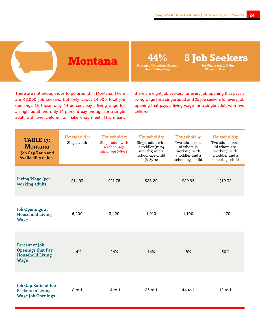**Montana 44% 8 Job Seekers Per Single Adult Living** 

**Wage Job Opening**

There are not enough jobs to go around in Montana. There are 48,000 job seekers, but only about 14,000 total job openings. Of those, only 44 percent pay a living wage for a single adult and only 14 percent pay enough for a single adult with two children to make ends meet. This means

there are eight job seekers for every job opening that pays a living wage for a single adult and 25 job seekers for every job opening that pays a living wage for a single adult with two children

| TABLE 17:<br><b>Montana</b><br><b>Job Gap Ratio and</b><br><b>Availability of Jobs</b> | Household 1:<br>Single adult | Household 2:<br>Single adult with<br>a school-age<br>child (age 6-8yrs) | Household 3:<br>Single adult with<br>a toddler (12-24<br>months) and a<br>school-age child<br>$(6-8yrs)$ | Household 4:<br>Two adults (one<br>of whom is<br>working) with<br>a toddler and a<br>school-age child | Household 5:<br>Two adults (both<br>of whom are<br>working) with<br>a toddler and a<br>school age child |
|----------------------------------------------------------------------------------------|------------------------------|-------------------------------------------------------------------------|----------------------------------------------------------------------------------------------------------|-------------------------------------------------------------------------------------------------------|---------------------------------------------------------------------------------------------------------|
| Living Wage (per<br>working adult)                                                     | \$14.93                      | \$21.78                                                                 | \$28.20                                                                                                  | \$29.96                                                                                               | \$19.32                                                                                                 |
| <b>Job Openings at</b><br><b>Household Living</b><br><b>Wage</b>                       | 6,200                        | 3,420                                                                   | 1,910                                                                                                    | 1,100                                                                                                 | 4,170                                                                                                   |
| Percent of Job<br><b>Openings that Pay</b><br><b>Household Living</b><br><b>Wage</b>   | 44%                          | 24%                                                                     | 14%                                                                                                      | 8%                                                                                                    | 30%                                                                                                     |
| Job Gap Ratio of Job<br><b>Seekers to Living</b><br><b>Wage Job Openings</b>           | 8 to 1                       | 14 to $1$                                                               | $25$ to $1$                                                                                              | 44 to 1                                                                                               | $12$ to $1$                                                                                             |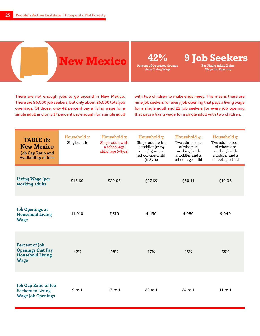## **New Mexico 42% 9 Job Seekers**

**Percent of Openings Greater than Living Wage**

**Per Single Adult Living** 

**Wage Job Opening**

There are not enough jobs to go around in New Mexico. There are 96,000 job seekers, but only about 26,000 total job openings. Of those, only 42 percent pay a living wage for a single adult and only 17 percent pay enough for a single adult with two children to make ends meet. This means there are nine job seekers for every job opening that pays a living wage for a single adult and 22 job seekers for every job opening that pays a living wage for a single adult with two children.

| <b>TABLE 18:</b><br><b>New Mexico</b><br><b>Job Gap Ratio and</b><br><b>Availability of Jobs</b> | Household 1:<br>Single adult | Household 2:<br>Single adult with<br>a school-age<br>child (age 6-8yrs) | Household 3:<br>Single adult with<br>a toddler (12-24<br>months) and a<br>school-age child<br>$(6-8yrs)$ | Household 4:<br>Two adults (one<br>of whom is<br>working) with<br>a toddler and a<br>school-age child | Household 5:<br>Two adults (both<br>of whom are<br>working) with<br>a toddler and a<br>school age child |
|--------------------------------------------------------------------------------------------------|------------------------------|-------------------------------------------------------------------------|----------------------------------------------------------------------------------------------------------|-------------------------------------------------------------------------------------------------------|---------------------------------------------------------------------------------------------------------|
| <b>Living Wage (per</b><br>working adult)                                                        | \$15.60                      | \$22.03                                                                 | \$27.69                                                                                                  | \$30.11                                                                                               | \$19.06                                                                                                 |
| <b>Job Openings at</b><br><b>Household Living</b><br><b>Wage</b>                                 | 11,010                       | 7,310                                                                   | 4,430                                                                                                    | 4,050                                                                                                 | 9,040                                                                                                   |
| Percent of Job<br><b>Openings that Pay</b><br><b>Household Living</b><br><b>Wage</b>             | 42%                          | 28%                                                                     | 17%                                                                                                      | 15%                                                                                                   | 35%                                                                                                     |
| Job Gap Ratio of Job<br><b>Seekers to Living</b><br><b>Wage Job Openings</b>                     | $9$ to $1$                   | $13$ to $1$                                                             | $22$ to 1                                                                                                | 24 to 1                                                                                               | 11 to $1$                                                                                               |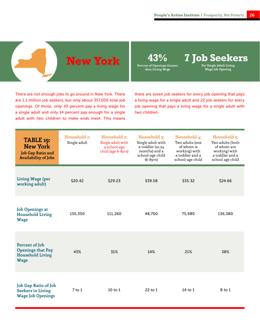

**Per Single Adult Living Wage Job Opening**

There are not enough jobs to go around in New York. There are 1.1 million job seekers, but only about 357,000 total job openings. Of those, only 43 percent pay a living wage for a single adult and only 14 percent pay enough for a single adult with two children to make ends meet. This means there are seven job seekers for every job opening that pays a living wage for a single adult and 22 job seekers for every job opening that pays a living wage for a single adult with two children.

| TABLE 19:<br><b>New York</b><br><b>Job Gap Ratio and</b><br><b>Availability of Jobs</b> | Household 1:<br>Single adult | Household 2:<br>Single adult with<br>a school-age<br>child (age 6-8yrs) | Household 3:<br>Single adult with<br>a toddler (12-24<br>months) and a<br>school-age child<br>$(6-8yrs)$ | Household 4:<br>Two adults (one<br>of whom is<br>working) with<br>a toddler and a<br>school-age child | Household 5:<br>Two adults (both<br>of whom are<br>working) with<br>a toddler and a<br>school age child |
|-----------------------------------------------------------------------------------------|------------------------------|-------------------------------------------------------------------------|----------------------------------------------------------------------------------------------------------|-------------------------------------------------------------------------------------------------------|---------------------------------------------------------------------------------------------------------|
| <b>Living Wage (per</b><br>working adult)                                               | \$20.42                      | \$29.23                                                                 | \$39.58                                                                                                  | \$35.32                                                                                               | \$24.66                                                                                                 |
| <b>Job Openings at</b><br><b>Household Living</b><br><b>Wage</b>                        | 155,350                      | 111,260                                                                 | 48,700                                                                                                   | 75,980                                                                                                | 136,380                                                                                                 |
| Percent of Job<br><b>Openings that Pay</b><br><b>Household Living</b><br><b>Wage</b>    | 43%                          | 31%                                                                     | 14%                                                                                                      | 21%                                                                                                   | 38%                                                                                                     |
| Job Gap Ratio of Job<br><b>Seekers to Living</b><br><b>Wage Job Openings</b>            | $7$ to $1$                   | $10$ to $1$                                                             | $22$ to 1                                                                                                | 14 to $1$                                                                                             | 8 to 1                                                                                                  |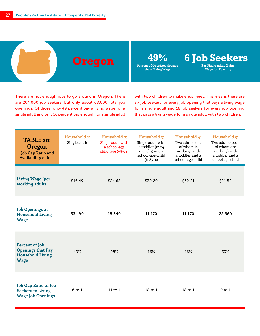**Oregon 49% 6 Job Seekers**

**Per Single Adult Living Wage Job Opening**

There are not enough jobs to go around in Oregon. There are 204,000 job seekers, but only about 68,000 total job openings. Of those, only 49 percent pay a living wage for a single adult and only 16 percent pay enough for a single adult with two children to make ends meet. This means there are six job seekers for every job opening that pays a living wage for a single adult and 18 job seekers for every job opening that pays a living wage for a single adult with two children.

| TABLE 20:<br>Oregon<br>Job Gap Ratio and<br><b>Availability of Jobs</b>              | Household 1:<br>Single adult | Household 2:<br>Single adult with<br>a school-age<br>child (age 6-8yrs) | Household 3:<br>Single adult with<br>a toddler (12-24<br>months) and a<br>school-age child<br>$(6-8yrs)$ | Household 4:<br>Two adults (one<br>of whom is<br>working) with<br>a toddler and a<br>school-age child | Household 5:<br>Two adults (both<br>of whom are<br>working) with<br>a toddler and a<br>school age child |
|--------------------------------------------------------------------------------------|------------------------------|-------------------------------------------------------------------------|----------------------------------------------------------------------------------------------------------|-------------------------------------------------------------------------------------------------------|---------------------------------------------------------------------------------------------------------|
| <b>Living Wage (per</b><br>working adult)                                            | \$16.49                      | \$24.62                                                                 | \$32.20                                                                                                  | \$32.21                                                                                               | \$21.52                                                                                                 |
| <b>Job Openings at</b><br><b>Household Living</b><br><b>Wage</b>                     | 33,490                       | 18,840                                                                  | 11,170                                                                                                   | 11,170                                                                                                | 22,660                                                                                                  |
| Percent of Job<br><b>Openings that Pay</b><br><b>Household Living</b><br><b>Wage</b> | 49%                          | 28%                                                                     | 16%                                                                                                      | 16%                                                                                                   | 33%                                                                                                     |
| Job Gap Ratio of Job<br><b>Seekers to Living</b><br><b>Wage Job Openings</b>         | $6$ to $1$                   | $11$ to $1$                                                             | $18$ to $1$                                                                                              | $18$ to $1$                                                                                           | $9$ to $1$                                                                                              |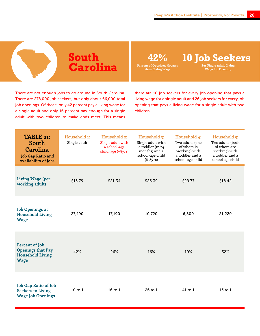## **South Carolina**

**Percent of Openings Greater than Living Wage**

**42% 10 Job Seekers**

**Per Single Adult Living Wage Job Opening**

There are not enough jobs to go around in South Carolina. There are 278,000 job seekers, but only about 66,000 total job openings. Of those, only 42 percent pay a living wage for a single adult and only 16 percent pay enough for a single adult with two children to make ends meet. This means

there are 10 job seekers for every job opening that pays a living wage for a single adult and 26 job seekers for every job opening that pays a living wage for a single adult with two children.

| TABLE 21:<br>South<br>Carolina<br>Job Gap Ratio and<br><b>Availability of Jobs</b>   | Household 1:<br>Single adult | Household 2:<br>Single adult with<br>a school-age<br>child (age 6-8yrs) | Household 3:<br>Single adult with<br>a toddler (12-24<br>months) and a<br>school-age child<br>$(6-8yrs)$ | Household 4:<br>Two adults (one<br>of whom is<br>working) with<br>a toddler and a<br>school-age child | Household 5:<br>Two adults (both<br>of whom are<br>working) with<br>a toddler and a<br>school age child |
|--------------------------------------------------------------------------------------|------------------------------|-------------------------------------------------------------------------|----------------------------------------------------------------------------------------------------------|-------------------------------------------------------------------------------------------------------|---------------------------------------------------------------------------------------------------------|
| Living Wage (per<br>working adult)                                                   | \$15.79                      | \$21.34                                                                 | \$26.39                                                                                                  | \$29.77                                                                                               | \$18.42                                                                                                 |
| <b>Job Openings at</b><br><b>Household Living</b><br><b>Wage</b>                     | 27,490                       | 17,190                                                                  | 10,720                                                                                                   | 6,800                                                                                                 | 21,220                                                                                                  |
| Percent of Job<br><b>Openings that Pay</b><br><b>Household Living</b><br><b>Wage</b> | 42%                          | 26%                                                                     | 16%                                                                                                      | 10%                                                                                                   | 32%                                                                                                     |
| Job Gap Ratio of Job<br><b>Seekers to Living</b><br><b>Wage Job Openings</b>         | $10$ to $1$                  | $16$ to $1$                                                             | $26$ to $1$                                                                                              | 41 to 1                                                                                               | $13$ to $1$                                                                                             |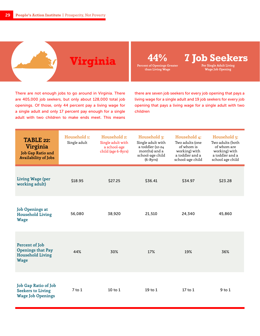

There are not enough jobs to go around in Virginia. There are 405,000 job seekers, but only about 128,000 total job openings. Of those, only 44 percent pay a living wage for a single adult and only 17 percent pay enough for a single adult with two children to make ends meet. This means

there are seven job seekers for every job opening that pays a living wage for a single adult and 19 job seekers for every job opening that pays a living wage for a single adult with two children

| TABLE 22:<br>Virginia<br><b>Job Gap Ratio and</b><br><b>Availability of Jobs</b>     | Household 1:<br>Single adult | Household 2:<br>Single adult with<br>a school-age<br>child (age 6-8yrs) | Household 3:<br>Single adult with<br>a toddler (12-24<br>months) and a<br>school-age child<br>$(6-8yrs)$ | Household 4:<br>Two adults (one<br>of whom is<br>working) with<br>a toddler and a<br>school-age child | Household 5:<br>Two adults (both<br>of whom are<br>working) with<br>a toddler and a<br>school age child |
|--------------------------------------------------------------------------------------|------------------------------|-------------------------------------------------------------------------|----------------------------------------------------------------------------------------------------------|-------------------------------------------------------------------------------------------------------|---------------------------------------------------------------------------------------------------------|
| Living Wage (per<br>working adult)                                                   | \$18.95                      | \$27.25                                                                 | \$36.41                                                                                                  | \$34.97                                                                                               | \$23.28                                                                                                 |
| <b>Job Openings at</b><br><b>Household Living</b><br><b>Wage</b>                     | 56,080                       | 38,920                                                                  | 21,510                                                                                                   | 24,340                                                                                                | 45,860                                                                                                  |
| Percent of Job<br><b>Openings that Pay</b><br><b>Household Living</b><br><b>Wage</b> | 44%                          | 30%                                                                     | 17%                                                                                                      | 19%                                                                                                   | 36%                                                                                                     |
| Job Gap Ratio of Job<br><b>Seekers to Living</b><br><b>Wage Job Openings</b>         | $7$ to $1$                   | $10$ to $1$                                                             | $19$ to $1$                                                                                              | $17$ to $1$                                                                                           | $9$ to $1$                                                                                              |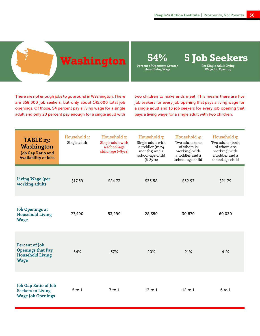

**Per Single Adult Living Wage Job Opening**

There are not enough jobs to go around in Washington. There are 358,000 job seekers, but only about 145,000 total job openings. Of those, 54 percent pay a living wage for a single adult and only 20 percent pay enough for a single adult with

two children to make ends meet. This means there are five job seekers for every job opening that pays a living wage for a single adult and 13 job seekers for every job opening that pays a living wage for a single adult with two children.

| TABLE 23:<br>Washington<br><b>Job Gap Ratio and</b><br><b>Availability of Jobs</b>   | Household 1:<br>Single adult | Household 2:<br>Single adult with<br>a school-age<br>child (age 6-8yrs) | Household 3:<br>Single adult with<br>a toddler (12-24<br>months) and a<br>school-age child<br>$(6-8yrs)$ | Household 4:<br>Two adults (one<br>of whom is<br>working) with<br>a toddler and a<br>school-age child | Household 5:<br>Two adults (both<br>of whom are<br>working) with<br>a toddler and a<br>school age child |
|--------------------------------------------------------------------------------------|------------------------------|-------------------------------------------------------------------------|----------------------------------------------------------------------------------------------------------|-------------------------------------------------------------------------------------------------------|---------------------------------------------------------------------------------------------------------|
| Living Wage (per<br>working adult)                                                   | \$17.59                      | \$24.73                                                                 | \$33.58                                                                                                  | \$32.97                                                                                               | \$21.79                                                                                                 |
| <b>Job Openings at</b><br><b>Household Living</b><br><b>Wage</b>                     | 77,490                       | 53,290                                                                  | 28,350                                                                                                   | 30,870                                                                                                | 60,030                                                                                                  |
| Percent of Job<br><b>Openings that Pay</b><br><b>Household Living</b><br><b>Wage</b> | 54%                          | 37%                                                                     | 20%                                                                                                      | 21%                                                                                                   | 41%                                                                                                     |
| <b>Job Gap Ratio of Job</b><br><b>Seekers to Living</b><br><b>Wage Job Openings</b>  | $5$ to $1$                   | $7$ to $1$                                                              | $13$ to $1$                                                                                              | $12$ to $1$                                                                                           | 6 to 1                                                                                                  |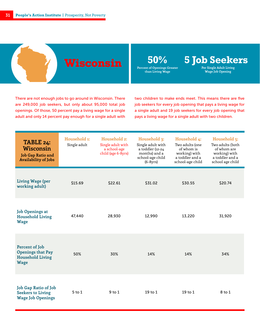## **Wisconsin**

**50% 5 Job Seekers**

**Percent of Openings Greater than Living Wage**

**Per Single Adult Living Wage Job Opening**

There are not enough jobs to go around in Wisconsin. There are 249,000 job seekers, but only about 95,000 total job openings. Of those, 50 percent pay a living wage for a single adult and only 14 percent pay enough for a single adult with

two children to make ends meet. This means there are five job seekers for every job opening that pays a living wage for a single adult and 19 job seekers for every job opening that pays a living wage for a single adult with two children.

| TABLE 24:<br><b>Wisconsin</b><br>Job Gap Ratio and<br><b>Availability of Jobs</b>    | Household 1:<br>Single adult | Household 2:<br>Single adult with<br>a school-age<br>child (age 6-8yrs) | Household 3:<br>Single adult with<br>a toddler (12-24<br>months) and a<br>school-age child<br>$(6-8yrs)$ | Household 4:<br>Two adults (one<br>of whom is<br>working) with<br>a toddler and a<br>school-age child | Household 5:<br>Two adults (both<br>of whom are<br>working) with<br>a toddler and a<br>school age child |
|--------------------------------------------------------------------------------------|------------------------------|-------------------------------------------------------------------------|----------------------------------------------------------------------------------------------------------|-------------------------------------------------------------------------------------------------------|---------------------------------------------------------------------------------------------------------|
| Living Wage (per<br>working adult)                                                   | \$15.69                      | \$22.61                                                                 | \$31.02                                                                                                  | \$30.55                                                                                               | \$20.74                                                                                                 |
| <b>Job Openings at</b><br><b>Household Living</b><br><b>Wage</b>                     | 47,440                       | 28,930                                                                  | 12,990                                                                                                   | 13,220                                                                                                | 31,920                                                                                                  |
| Percent of Job<br><b>Openings that Pay</b><br><b>Household Living</b><br><b>Wage</b> | 50%                          | 30%                                                                     | 14%                                                                                                      | 14%                                                                                                   | 34%                                                                                                     |
| Job Gap Ratio of Job<br><b>Seekers to Living</b><br><b>Wage Job Openings</b>         | $5$ to $1$                   | $9$ to $1$                                                              | $19$ to $1$                                                                                              | $19$ to $1$                                                                                           | 8 to 1                                                                                                  |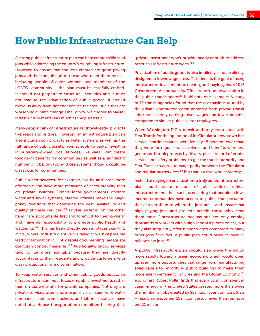#### **How Public Infrastructure Can Help**

A strong public infrastructure plan can help create millions of jobs while addressing the country's crumbling infrastructure. However, to ensure that the jobs created are good paying jobs and that the jobs go to those who need them most – including people of color, women, and members of the LGBTQI community – the plan must be carefully crafted. It should not perpetuate structural inequities and it must not lead to the privatization of public goods. It should move us away from dependence on the fossil fuels that are worsening climate change. Finally, how we choose to pay for infrastructure matters as much as the plan itself.

Many people think of infrastructure as "shovel ready" projects like roads and bridges. However, an infrastructure plan can also include such projects as water systems, as well as the full range of public assets, from schools to parks. Investing in publically-owned local services, like water, can create long-term benefits for communities as well as a significant number of jobs; privatizing those systems, though, could be disastrous for communities.

Public water services, for example, are by and large more affordable and have more measures of accountability than do private systems. "When local governments operate water and sewer systems, elected officials make the major policy decisions that determine the cost, availability and quality of these services.<sup>"53</sup> Private systems, on the other hand, "are accountable first and foremost to their owners" and "have no responsibility to promote public health and wellbeing."<sup>54</sup> This has been directly seen in places like Flint, Mich., where "industry giant Veolia failed to warn of possible lead contamination in Flint, despite documenting inadequate corrosion control measures."<sup>55</sup> Additionally, public services tend to be more equitable because they are directly accountable to their residents and provide customers with clear protections from discrimination.

To keep water services and other public goods public, an infrastructure plan must focus on public investments rather than on tax write-offs for private companies. Not only are private services often more expensive, as seen with water companies, but even business and labor executives have noted at a House transportation committee hearing that, "private investment won't provide nearly enough to address America's infrastructure woes."<sup>56</sup>

Privatization of public goods is also implicitly, if not explicitly, designed to lower wage costs. This defeats the goal of using infrastructure investments to create good-paying jobs. A 2013 Government Accountability Office report on privatization in the public transit sector<sup>57</sup> highlights one example: A study of 12 transit agencies found that the cost savings touted by the private contractors came primarily from private transit labor consistently earning lower wages and fewer benefits compared to similar public sector employees.

When Washington D.C.'s transit authority contracted with First Transit for the operation of its Circulator downtown bus service, starting salaries were initially 15 percent lower than they were for regular transit drivers, and benefits were less generous. It took protests by drivers, plus a record of erratic service and safety problems, to get the transit authority and First Transit to agree to wage parity between the Circulator and regular bus services.<sup>58</sup> But that is a rare worker victory.

Instead of relying on privatization, a truly public infrastructure plan could create millions of jobs, address critical infrastructure needs – such as ensuring that people in lowincome communities have access to public transportation that can get them to where the jobs are – and ensure that high paying jobs and projects benefit those who need them most. "Infrastructure occupations not only employ thousands of workers with a high school diploma or less, but they also frequently offer higher wages compared to many other jobs."<sup>59</sup> In fact, a public plan could produce over 15 million new jobs.<sup>60</sup>

A public infrastructure plan should also move the nation more rapidly toward a green economy, which would open up even more opportunities that range from manufacturing solar panels to retrofitting public buildings to make them more energy-efficient. In "Greening the Global Economy,"<sup>61</sup> economist Robert Pollin finds that every \$1 million spent in clean energy in the United States creates more than twice the number of jobs created by \$1 million spent on fossil fuels – nearly nine jobs per \$1 million versus fewer than four jobs per \$1 million.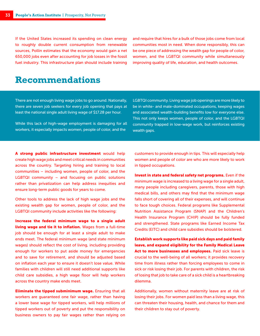If the United States increased its spending on clean energy to roughly double current consumption from renewable sources, Pollin estimates that the economy would gain a net 650,000 jobs even after accounting for job losses in the fossil fuel industry. This infrastructure plan should include training

and require that hires for a bulk of those jobs come from local communities most in need. When done responsibly, this can be one piece of addressing the wealth gap for people of color, women, and the LGBTQI community while simultaneously improving quality of life, education, and health outcomes.

#### **Recommendations**

There are not enough living wage jobs to go around. Nationally, there are seven job seekers for every job opening that pays at least the national single adult living wage of \$17.28 per hour.

While this lack of high-wage employment is damaging for all workers, it especially impacts women, people of color, and the

LGBTQI community. Living wage job openings are more likely to be in white- and male-dominated occupations, keeping wages and associated wealth-building benefits low for everyone else. This not only keeps women, people of color, and the LGBTQI community trapped in low-wage work, but reinforces existing wealth gaps.

A strong public infrastructure investment would help create high wage jobs and meet critical needs in communities across the country. Targeting hiring and training to local communities – including women, people of color, and the LGBTQI community – and focusing on public solutions rather than privatization can help address inequities and ensure long-term public goods for years to come.

Other tools to address the lack of high wage jobs and the existing wealth gap for women, people of color, and the LGBTQI community include activities like the following:

Increase the federal minimum wage to a single adult living wage and tie it to inflation. Wages from a full-time job should be enough for at least a single adult to make ends meet. The federal minimum wage (and state minimum wages) should reflect the cost of living, including providing enough for workers to put aside money for emergencies and to save for retirement, and should be adjusted based on inflation each year to ensure it doesn't lose value. While families with children will still need additional supports like child care subsidies, a high wage floor will help workers across the country make ends meet.

Eliminate the tipped subminimum wage. Ensuring that all workers are guaranteed one fair wage, rather than having a lower base wage for tipped workers, will help millions of tipped workers out of poverty and put the responsibility on business owners to pay fair wages rather than relying on

customers to provide enough in tips. This will especially help women and people of color are who are more likely to work in tipped occupations.

Invest in state and federal safety net programs. Even if the minimum wage is increased to a living wage for a single adult, many people including caregivers, parents, those with high medical bills, and others may find that the minimum wage falls short of covering all of their expenses, and will continue to face tough choices. Federal programs like Supplemental Nutrition Assistance Program (SNAP) and the Children's Health Insurance Program (CHIP) should be fully funded and strengthened. State programs like Earned Income Tax Credits (EITC) and child care subsidies should be bolstered.

Establish work supports like paid sick days and paid family leave, and expand eligibility for the Family Medical Leave Act to more businesses and employees. Paid sick leave is crucial to the well-being of all workers; it provides recovery time from illness rather than forcing employees to come in sick or risk losing their job. For parents with children, the risk of losing that job to take care of a sick child is a heartbreaking dilemma.

Additionally, women without maternity leave are at risk of losing their jobs. For women paid less than a living wage, this can threaten their housing, health, and chance for them and their children to stay out of poverty.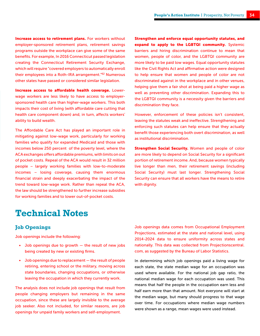Increase access to retirement plans. For workers without employer-sponsored retirement plans, retirement savings programs outside the workplace can give some of the same benefits. For example, In 2016 Connecticut passed legislation creating the Connecticut Retirement Security Exchange, which will require "covered employers to automatically enroll their employees into a Roth-IRA arrangement."<sup>62</sup> Numerous other states have passed or considered similar legislation.

Increase access to affordable health coverage. Lowerwage workers are less likely to have access to employersponsored health care than higher-wage workers. This both impacts their cost of living (with affordable care cutting that health care component down) and, in turn, affects workers' ability to build wealth.

The Affordable Care Act has played an important role in mitigating against low-wage work, particularly for working families who qualify for expanded Medicaid and those with incomes below 250 percent of the poverty level, where the ACA exchanges offers affordable premiums, with limits on out of pocket costs. Repeal of the ACA would result in 32 million people – largely working families with low-to-moderate incomes – losing coverage, causing them enormous financial strain and deeply exacerbating the impact of the trend toward low-wage work. Rather than repeal the ACA, the law should be strengthened to further increase subsidies for working families and to lower out-of-pocket costs.

Strengthen and enforce equal opportunity statutes, and expand to apply to the LGBTQI community. Systemic barriers and hiring discrimination continue to mean that women, people of color, and the LGBTQI community are more likely to be paid low wages. Equal opportunity statutes like the Civil Rights Act and affirmative action were designed to help ensure that women and people of color are not discriminated against in the workplace and in other venues, helping give them a fair shot at being paid a higher wage as well as preventing other discrimination. Expanding this to the LGBTQI community is a necessity given the barriers and discrimination they face.

However, enforcement of these policies isn't consistent, leaving the statutes weak and ineffective. Strengthening and enforcing such statutes can help ensure that they actually benefit those experiencing both overt discrimination, as well as institutional discrimination.

Strengthen Social Security. Women and people of color are more likely to depend on Social Security for a significant portion of retirement income. And, because women typically live longer than men, their retirement savings (including Social Security) must last longer. Strengthening Social Security can ensure that all workers have the means to retire with dignity.

#### **Technical Notes**

#### **Job Openings**

Job openings include the following:

- Job openings due to growth the result of new jobs being created by new or existing firms.
- Job openings due to replacement the result of people retiring, entering school or the military, moving across state boundaries, changing occupations, or otherwise leaving the occupation in which they currently work.

The analysis does not include job openings that result from people changing employers but remaining in the same occupation, since these are largely invisible to the average job seeker. Also not included, for similar reasons, are job openings for unpaid family workers and self-employment.

Job openings data comes from Occupational Employment Projections, estimated at the state and national level, using 2014-2024 data to ensure uniformity across states and nationally. This data was collected from Projectionscentral. com, as suggested by the Bureau of Labor Statistics.

In determining which job openings paid a living wage for each state, the state median wage for an occupation was used where available. For the national job gap ratio, the national median wage for each occupation was used. This means that half the people in the occupation earn less and half earn more than that amount. Not everyone will start at the median wage, but many should progress to that wage over time. For occupations where median wage numbers were shown as a range, mean wages were used instead.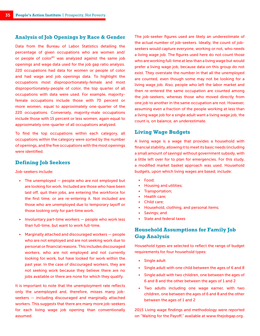#### **Analysis of Job Openings by Race & Gender**

Data from the Bureau of Labor Statistics detailing the percentage of given occupations who are women and/ or people of color<sup>63</sup> was analyzed against the same job openings and wage data used for the job gap ratio analysis. 220 occupations had data for women or people of color and had wage and job openings data. To highlight the occupations most disproportionately-female and most disproportionately-people of color, the top quarter of all occupations with data were used. For example, majorityfemale occupations include those with 70 percent or more women, equal to approximately one-quarter of the 220 occupations. Conversely, majority-male occupations include those with 15 percent or less women, again equal to approximately one-quarter of all occupations analyzed.

To find the top occupations within each category, all occupations within the category were sorted by the number of openings, and the five occupations with the most openings were identified.

#### **Defining Job Seekers**

Job-seekers include:

- The unemployed people who are not employed but are looking for work. Included are those who have been laid off, quit their jobs, are entering the workforce for the first time, or are re-entering it. Not included are those who are unemployed due to temporary layoff or those looking only for part-time work.
- Involuntary part-time workers people who work less than full-time, but want to work full-time.
- Marginally attached and discouraged workers people who are not employed and are not seeking work due to personal or financial reasons. This includes discouraged workers, who are not employed and not currently looking for work, but have looked for work within the past year. In the case of discouraged workers, they are not seeking work because they believe there are no jobs available or there are none for which they qualify.

It is important to note that the unemployment rate reflects only the unemployed and, therefore, misses many jobseekers — including discouraged and marginally attached workers. This suggests that there are many more job-seekers for each living wage job opening than conventionally assumed.

The job-seeker figures used are likely an underestimate of the actual number of job-seekers. Ideally, the count of jobseekers would capture everyone, working or not, who needs a living wage job. The figures used here do not count those who are working full-time at less than a living wage but would prefer a living wage job, because data on this group do not exist. They overstate the number in that all the unemployed are counted, even though some may not be looking for a living wage job. Also, people who left the labor market and then re-entered the same occupation are counted among the job-seekers, whereas those who moved directly from one job to another in the same occupation are not. However, assuming even a fraction of the people working at less than a living wage job for a single adult want a living wage job, the count is, on balance, an underestimate.

#### **Living Wage Budgets**

A living wage is a wage that provides a household with financial stability, allowing it to meet its basic needs (including a small amount of savings) without government subsidy, with a little left over for to plan for emergencies. For this study, a modified market basket approach was used. Household budgets, upon which living wages are based, include:

- Food;
- Housing and utilities;
- Transportation;
- Health care;
- Child care;
- Household, clothing, and personal items;
- Savings; and
- State and federal taxes

#### **Household Assumptions for Family Job Gap Analysis**

Household types are selected to reflect the range of budget requirements for four household types:

- Single adult
- Single adult with one child between the ages of 6 and 8
- Single adult with two children, one between the ages of 6 and 8 and the other between the ages of 1 and 2
- Two adults including one wage earner, with two children, one between the ages of 6 and 8 and the other between the ages of 1 and 2

2015 Living wage findings and methodology were reported on "Waiting for the Payoff," available at www.thejobgap.org.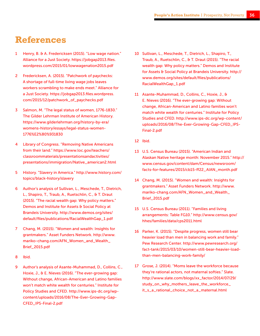## **References**

- Henry, B. & A. Fredericksen (2015). "Low wage nation." Alliance for a Just Society. https://jobgap2013.files. wordpress.com/2015/01/lowwagenation2015.pdf
- 2 Fredericksen, A. (2015). "Patchwork of paychecks: A shortage of full-time living wage jobs leaves workers scrambling to make ends meet." Alliance for a Just Society. https://jobgap2013.files.wordpress. com/2015/12/patchwork\_of\_paychecks.pdf
- 3 Salmon, M. "The legal status of women, 1776-1830." The Gilder Lehrman Institute of American History. https://www.gilderlehrman.org/history-by-era/ womens-history/essays/legal-status-women-1776%E2%80%931830
- 4 Library of Congress. "Removing Native Americans from their land." https://www.loc.gov/teachers/ classroommaterials/presentationsandactivities/ presentations/immigration/Native\_american2.html
- 5 History. "Slavery in America." http://www.history.com/ topics/black-history/slavery
- 6 Author's analysis of Sullivan, L., Meschede, T., Dietrich, L., Shapiro, T., Traub, A., Ruetschlin, C., & T. Draut (2015). "The racial wealth gap: Why policy matters." Demos and Institute for Assets & Social Policy at Brandeis University. http://www.demos.org/sites/ default/files/publications/RacialWealthGap\_1.pdf
- 7 Chang, M. (2015). "Women and wealth: Insights for grantmakers." Asset Funders Network. http://www. mariko-chang.com/AFN\_Women\_and\_Wealth\_ Brief\_2015.pdf
- 8 Ibid.
- 9 Author's analysis of Asante-Muhammad, D., Collins, C., Hoxie, J., & E. Nieves (2016). "The ever-growing gap: Without change, African-American and Latino families won't match white wealth for centuries." Institute for Policy Studies and CFED. http://www.ips-dc.org/wpcontent/uploads/2016/08/The-Ever-Growing-Gap-CFED\_IPS-Final-2.pdf
- 10 Sullivan, L., Meschede, T., Dietrich, L., Shapiro, T., Traub, A., Ruetschlin, C., & T. Draut (2015). "The racial wealth gap: Why policy matters." Demos and Institute for Assets & Social Policy at Brandeis University. http:// www.demos.org/sites/default/files/publications/ RacialWealthGap\_1.pdf
- 11 Asante-Muhammad, D., Collins, C., Hoxie, J., & E. Nieves (2016). "The ever-growing gap: Without change, African-American and Latino families won't match white wealth for centuries." Institute for Policy Studies and CFED. http://www.ips-dc.org/wp-content/ uploads/2016/08/The-Ever-Growing-Gap-CFED\_IPS-Final-2.pdf
- 12 Ibid.
- 13 U.S. Census Bureau (2015). "American Indian and Alaskan Native heritage month: November 2015." http:// www.census.gov/content/dam/Census/newsroom/ facts-for-features/2015/cb15-ff22\_AIAN\_month.pdf
- 14 Chang, M. (2015). "Women and wealth: Insights for grantmakers." Asset Funders Network. http://www. mariko-chang.com/AFN\_Women\_and\_Wealth\_ Brief\_2015.pdf
- 15 U.S. Census Bureau (2011). "Families and living arrangements: Table FG10." http://www.census.gov/ hhes/families/data/cps2011.html
- 16 Parker, K. (2015). "Despite progress, women still bear heavier load than men in balancing work and family." Pew Research Center. http://www.pewresearch.org/ fact-tank/2015/03/10/women-still-bear-heavier-loadthan-men-balancing-work-family/
- 17 Grose, J. (2014). "Moms leave the workforce because they're rational actors, not maternal softies." Slate. http://www.slate.com/blogs/xx\_factor/2014/07/29/ study\_on\_why\_mothers\_leave\_the\_workforce\_ it\_s\_a\_rational\_choice\_not\_a\_maternal.html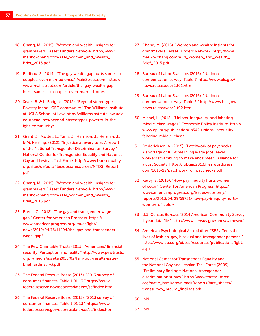- 18 Chang, M. (2015). "Women and wealth: Insights for grantmakers." Asset Funders Network. http://www. mariko-chang.com/AFN\_Women\_and\_Wealth\_ Brief\_2015.pdf
- 19 Baribou, S. (2014). "The gay wealth gap hurts same sex couples, even married ones." MainStreet.com. https:// www.mainstreet.com/article/the-gay-wealth-gaphurts-same-sex-couples-even-married-ones
- 20 Sears, B. & L. Badgett. (2012). "Beyond stereotypes: Poverty in the LGBT community." The Williams Institute at UCLA School of Law. http://williamsinstitute.law.ucla. edu/headlines/beyond-stereotypes-poverty-in-thelgbt-community/
- 21 Grant, J., Mottet, L., Tanis, J., Harrison, J., Herman, J., & M. Keisling. (2012). "Injustice at every turn: A report of the National Transgender Discrimination Survey." National Center for Transgender Equality and National Gay and Lesbian Task Force. http://www.transequality. org/sites/default/files/docs/resources/NTDS\_Report. pdf
- 22 Chang, M. (2015). "Women and wealth: Insights for grantmakers." Asset Funders Network. http://www. mariko-chang.com/AFN\_Women\_and\_Wealth\_ Brief\_2015.pdf
- 23 Burns, C. (2012). "The gay and transgender wage gap." Center for American Progress. https:// www.americanprogress.org/issues/lgbt/ news/2012/04/16/11494/the-gay-and-transgenderwage-gap/
- 24 The Pew Charitable Trusts (2015). "Americans' financial security: Perception and reality." http://www.pewtrusts. org/~/media/assets/2015/02/fsm-poll-results-issuebrief\_artfinal\_v3.pdf
- 25 The Federal Reserve Board (2013). "2013 survey of consumer finances: Table 1 01-13." https://www. federalreserve.gov/econresdata/scf/scfindex.htm
- 26 The Federal Reserve Board (2013). "2013 survey of consumer finances: Table 1 01-13." https://www. federalreserve.gov/econresdata/scf/scfindex.htm
- 27 Chang, M. (2015). "Women and wealth: Insights for grantmakers." Asset Funders Network. http://www. mariko-chang.com/AFN\_Women\_and\_Wealth\_ Brief\_2015.pdf
- 28 Bureau of Labor Statistics (2016). "National compensation survey: Table 1" http://www.bls.gov/ news.release/ebs2.t01.htm
- 29 Bureau of Labor Statistics (2016). "National compensation survey: Table 2." http://www.bls.gov/ news.release/ebs2.t02.htm
- 30 Mishel, L. (2012). "Unions, inequality, and faltering middle-class wages." Economic Policy Institute. http:// www.epi.org/publication/ib342-unions-inequalityfaltering-middle-class/
- 31 Fredericksen, A. (2015). "Patchwork of paychecks: A shortage of full-time living wage jobs leaves workers scrambling to make ends meet." Alliance for a Just Society. https://jobgap2013.files.wordpress. com/2015/12/patchwork\_of\_paychecks.pdf
- 32 Kerby, S. (2013). "How pay inequity hurts women of color." Center for American Progress. https:// www.americanprogress.org/issues/economy/ reports/2013/04/09/59731/how-pay-inequity-hurtswomen-of-color/
- 33 U.S. Census Bureau. "2014 American Community Survey 1-year data file." http://www.census.gov/hhes/samesex/
- 34 American Psychological Association. "SES affects the lives of lesbian, gay, bisexual and transgender persons." http://www.apa.org/pi/ses/resources/publications/lgbt. aspx
- 35 National Center for Transgender Equality and the National Gay and Lesbian Task Force (2009). "Preliminary findings: National transgender discrimination survey." http://www.thetaskforce. org/static\_html/downloads/reports/fact\_sheets/ transsurvey\_prelim\_findings.pdf
- 36 Ibid.
- 37 Ibid.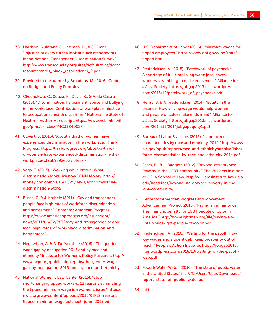- 38 Harrison-Quintana, J., Lettman, H., & J. Grant. "Injustice at every turn: a look at black respondents in the National Transgender Discrimination Survey." http://www.transequality.org/sites/default/files/docs/ resources/ntds\_black\_respondents\_2.pdf
- 39 Provided to the author by Broaddus, M. (2016). Center on Budget and Policy Priorities.
- 40 Okechukwu, C., Souza, K., Davis, K., & A. de Castro (2013). "Discrimination, harassment, abuse and bullying in the workplace: Contribution of workplace injustice to occupational health disparities." National Institute of Health – Author Manuscript. https://www.ncbi.nlm.nih. gov/pmc/articles/PMC3884002/
- 41 Covert, B. (2013). "About a third of women have experienced discrimination in the workplace." Think Progress. https://thinkprogress.org/about-a-thirdof-women-have-experienced-discrimination-in-theworkplace-cf2bb9a92eb3#.l4eliklxl
- 42 Vega, T. (2015). "Working while brown: What discrimination looks like now." CNN Money. http:// money.cnn.com/2015/11/25/news/economy/racialdiscrimination-work/
- 43 Burns, C. & J. Krehely (2011). "Gay and transgender people face high rates of workforce discrimination and harassment." Center for American Progress. https://www.americanprogress.org/issues/lgbt/ news/2011/06/02/9872/gay-and-transgender-peopleface-high-rates-of-workplace-discrimination-andharassment/
- 44 Hegewisch, A. & A. DuMonthier (2016). "The gender wage gap by occupation 2015 and by race and ethnicity." Institute for Women's Policy Research. http:// www.iwpr.org/publications/pubs/the-gender-wagegap-by-occupation-2015-and-by-race-and-ethnicity
- 45 National Women's Law Center (2015). "Stop shortchanging tipped workers: 12 reasons eliminating the tipped minimum wage is a women's issue." https:// nwlc.org/wp-content/uploads/2015/08/12\_reasons\_ tipped\_minimumwagefactsheet\_june\_2015.pdf
- 46 U.S. Department of Labor (2016). "Minimum wages for tipped employees." https://www.dol.gov/whd/state/ tipped.htm
- 47 Fredericksen, A. (2015). "Patchwork of paychecks: A shortage of full-time living wage jobs leaves workers scrambling to make ends meet." Alliance for a Just Society. https://jobgap2013.files.wordpress. com/2015/12/patchwork\_of\_paychecks.pdf
- 48 Henry, B. & A. Fredericksen (2014). "Equity in the balance: How a living wage would help women and people of color make ends meet." Alliance for a Just Society. https://jobgap2013.files.wordpress. com/2014/11/2014jobgapequity1.pdf
- 49 Bureau of Labor Statistics (2015). "Labor force characteristics by race and ethnicity, 2014." http://www. bls.gov/opub/reports/race-and-ethnicity/archive/laborforce-characteristics-by-race-and-ethnicity-2014.pdf
- 50 Sears, B., & L. Badgett. (2012). "Beyond stereotypes: Poverty in the LGBT community." The Williams Institute at UCLA School of Law. http://williamsinstitute.law.ucla. edu/headlines/beyond-stereotypes-poverty-in-thelgbt-community/
- 51 Center for American Progress and Movement Advancement Project (2015). "Paying an unfair price: The financial penalty for LGBT people of color in America." http://www.lgbtmap.org/file/paying-anunfair-price-lgbt-people-of-color.pdf
- 52 Fredericksen, A. (2016). "Waiting for the payoff: How low wages and student debt keep prosperity out of reach." People's Action Institute. https://jobgap2013. files.wordpress.com/2016/10/waiting-for-the-payoffweb.pdf
- 53 Food & Water Watch (2016). "The state of public water in the United States." file:///C:/Users/User/Downloads/ report\_state\_of\_public\_water.pdf
- 54 Ibid.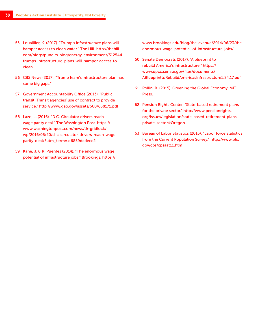- 55 Louaillier, K. (2017). "Trump's infrastructure plans will hamper access to clean water." The Hill. http://thehill. com/blogs/pundits-blog/energy-environment/312544 trumps-infrastructure-plans-will-hamper-access-toclean
- 56 CBS News (2017). "Trump team's infrastructure plan has some big gaps."
- 57 Government Accountability Office (2013). "Public transit: Transit agencies' use of contract to provide service." http://www.gao.gov/assets/660/658171.pdf
- 58 Lazo, L. (2016). "D.C. Circulator drivers reach wage parity deal." The Washington Post. https:// www.washingtonpost.com/news/dr-gridlock/ wp/2016/05/20/d-c-circulator-drivers-reach-wageparity-deal/?utm\_term=.d6859dcdece2
- 59 Kane, J. & R. Puentes (2014). "The enormous wage potential of infrastructure jobs." Brookings. https://

www.brookings.edu/blog/the-avenue/2014/06/23/theenormous-wage-potential-of-infrastructure-jobs/

- 60 Senate Democrats (2017). "A blueprint to rebuild America's infrastructure." https:// www.dpcc.senate.gov/files/documents/ ABlueprinttoRebuildAmericasInfrastructure1.24.17.pdf
- 61 Pollin, R. (2015). Greening the Global Economy. MIT Press.
- 62 Pension Rights Center. "State-based retirement plans for the private sector." http://www.pensionrights. org/issues/legislation/state-based-retirement-plansprivate-sector#Oregon
- 63 Bureau of Labor Statistics (2016). "Labor force statistics from the Current Population Survey." http://www.bls. gov/cps/cpsaat11.htm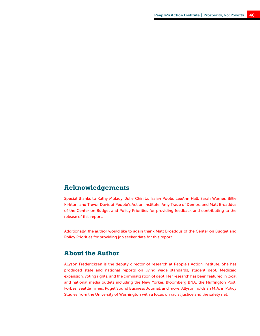#### **Acknowledgements**

Special thanks to Kathy Mulady, Julie Chinitz, Isaiah Poole, LeeAnn Hall, Sarah Warner, Billie Kirkton, and Trevor Davis of People's Action Institute; Amy Traub of Demos; and Matt Broaddus of the Center on Budget and Policy Priorities for providing feedback and contributing to the release of this report.

Additionally, the author would like to again thank Matt Broaddus of the Center on Budget and Policy Priorities for providing job seeker data for this report.

#### **About the Author**

Allyson Fredericksen is the deputy director of research at People's Action Institute. She has produced state and national reports on living wage standards, student debt, Medicaid expansion, voting rights, and the criminalization of debt. Her research has been featured in local and national media outlets including the New Yorker, Bloomberg BNA, the Huffington Post, Forbes, Seattle Times, Puget Sound Business Journal, and more. Allyson holds an M.A. in Policy Studies from the University of Washington with a focus on racial justice and the safety net.